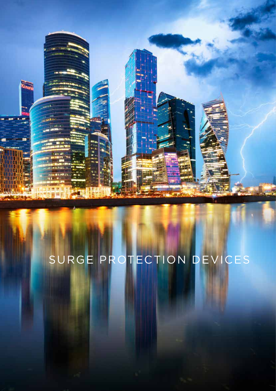

# SURGE PROTECTION DEVICES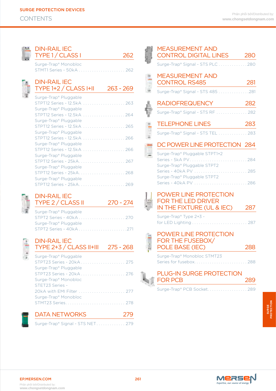| TYPE 1/ CLASS I                                                               |           |
|-------------------------------------------------------------------------------|-----------|
| Surge-Trap <sup>®</sup> Monobloc                                              |           |
| <b>DIN-RAIL IEC</b><br>TYPE 1+2 / CLASS I+II                                  | 263 - 269 |
| Surge-Trap® Pluggable<br>STPT12 Series - 12.5kA  263<br>Surge-Trap® Pluggable |           |
| STPT12 Series - 12.5kA 264<br>Surge-Trap® Pluggable                           |           |
| STPT12 Series - 12.5kA  265<br>Surge-Trap® Pluggable                          |           |
| STPT12 Series - 12.5kA  266<br>Surge-Trap® Pluggable                          |           |
| STPT12 Series - 12.5kA  266<br>Surge-Trap® Pluggable                          |           |
| Surge-Trap <sup>®</sup> Pluggable<br>STPT12 Series - 25kA268                  |           |
| Surge-Trap <sup>®</sup> Pluggable<br>STPT12 Series - 25kA 269                 |           |



### [DIN-RAIL IEC](#page-29-0)  [TYPE 2 / CLASS II](#page-29-0) 270 - 274

| Surge-Trap® Pluggable             |  |
|-----------------------------------|--|
|                                   |  |
| Surge-Trap <sup>®</sup> Pluggable |  |
| STPT2 Series - 40kA271            |  |

### DIN-RAIL IEC TYPE 2+3 / CLASS II+III 275 - 268

| Surge-Trap® Pluggable            |
|----------------------------------|
| STPT23 Series - 20kA 275         |
| Surge-Trap® Pluggable            |
| STPT23 Series - 20kA 276         |
| Surge-Trap <sup>®</sup> Monobloc |
| STET23 Series -                  |
| 20kA with EMI Filter  277        |
| Surge-Trap <sup>®</sup> Monobloc |
|                                  |
|                                  |



| 262<br>Surge-Trap® Monobloc<br>TYPE $1+2$ / CLASS $1+11$ 263 - 269<br>Surge-Trap <sup>®</sup> Pluggable<br>STPT12 Series - 12.5kA  263<br>Surge-Trap® Pluggable<br>STPT12 Series - 12.5kA 264<br>Surge-Trap® Pluggable<br>STPT12 Series - 12.5kA  265<br>Surge-Trap® Pluggable<br>STPT12 Series - 12.5kA  266<br>Surge-Trap® Pluggable<br>STPT12 Series - 12.5kA 266<br>Surge-Trap® Pluggable<br>STPT12 Series - 25kA 267<br>Surge-Trap® Pluggable<br>STPT12 Series - 25kA 268<br>Surge-Trap® Pluggable<br>STPT12 Series - 25kA 269<br>$270 - 274$<br>TYPE 2 / CLASS II | 81 (131) 18 | <b>MEASUREMENT AND</b><br><b>CONTROL DIGITAL LINES</b><br>Surge-Trap® Signal - STS PLC 280<br><b>MEASUREMENT AND</b><br><b>CONTROL RS485</b><br>Surge-Trap® Signal - STS 485 281<br><b>RADIOFREQUENCY</b><br>Surge-Trap® Signal - STS RF  282<br><b>TELEPHONE LINES</b><br>Surge-Trap® Signal - STS TEL  283<br>DC POWER LINE PROTECTION 284<br>Surge-Trap® Pluggable STPT1+2<br>Series - 5kA PV284<br>Surge-Trap® Pluggable STPT2<br>Series - 40kA PV  285 | <b>280</b><br>281<br>282<br>283                     |
|-------------------------------------------------------------------------------------------------------------------------------------------------------------------------------------------------------------------------------------------------------------------------------------------------------------------------------------------------------------------------------------------------------------------------------------------------------------------------------------------------------------------------------------------------------------------------|-------------|-------------------------------------------------------------------------------------------------------------------------------------------------------------------------------------------------------------------------------------------------------------------------------------------------------------------------------------------------------------------------------------------------------------------------------------------------------------|-----------------------------------------------------|
|                                                                                                                                                                                                                                                                                                                                                                                                                                                                                                                                                                         |             |                                                                                                                                                                                                                                                                                                                                                                                                                                                             |                                                     |
|                                                                                                                                                                                                                                                                                                                                                                                                                                                                                                                                                                         |             |                                                                                                                                                                                                                                                                                                                                                                                                                                                             |                                                     |
|                                                                                                                                                                                                                                                                                                                                                                                                                                                                                                                                                                         |             |                                                                                                                                                                                                                                                                                                                                                                                                                                                             |                                                     |
|                                                                                                                                                                                                                                                                                                                                                                                                                                                                                                                                                                         |             |                                                                                                                                                                                                                                                                                                                                                                                                                                                             |                                                     |
|                                                                                                                                                                                                                                                                                                                                                                                                                                                                                                                                                                         |             |                                                                                                                                                                                                                                                                                                                                                                                                                                                             |                                                     |
|                                                                                                                                                                                                                                                                                                                                                                                                                                                                                                                                                                         |             |                                                                                                                                                                                                                                                                                                                                                                                                                                                             |                                                     |
|                                                                                                                                                                                                                                                                                                                                                                                                                                                                                                                                                                         |             |                                                                                                                                                                                                                                                                                                                                                                                                                                                             |                                                     |
|                                                                                                                                                                                                                                                                                                                                                                                                                                                                                                                                                                         |             |                                                                                                                                                                                                                                                                                                                                                                                                                                                             |                                                     |
|                                                                                                                                                                                                                                                                                                                                                                                                                                                                                                                                                                         |             |                                                                                                                                                                                                                                                                                                                                                                                                                                                             |                                                     |
|                                                                                                                                                                                                                                                                                                                                                                                                                                                                                                                                                                         |             |                                                                                                                                                                                                                                                                                                                                                                                                                                                             |                                                     |
|                                                                                                                                                                                                                                                                                                                                                                                                                                                                                                                                                                         |             |                                                                                                                                                                                                                                                                                                                                                                                                                                                             |                                                     |
|                                                                                                                                                                                                                                                                                                                                                                                                                                                                                                                                                                         |             |                                                                                                                                                                                                                                                                                                                                                                                                                                                             |                                                     |
|                                                                                                                                                                                                                                                                                                                                                                                                                                                                                                                                                                         |             |                                                                                                                                                                                                                                                                                                                                                                                                                                                             |                                                     |
|                                                                                                                                                                                                                                                                                                                                                                                                                                                                                                                                                                         |             | Surge-Trap® Pluggable STPT2<br>Series - 40kA PV 286                                                                                                                                                                                                                                                                                                                                                                                                         |                                                     |
|                                                                                                                                                                                                                                                                                                                                                                                                                                                                                                                                                                         |             | POWER LINE PROTECTION<br><b>FOR THE LED DRIVER</b><br>IN THE FIXTURE (UL & IEC)                                                                                                                                                                                                                                                                                                                                                                             | 287                                                 |
| Surge-Trap® Pluggable<br>Surge-Trap <sup>®</sup> Pluggable                                                                                                                                                                                                                                                                                                                                                                                                                                                                                                              |             | Surge-Trap® Type 2+3 -                                                                                                                                                                                                                                                                                                                                                                                                                                      |                                                     |
| TYPE 2+3 / CLASS II+III 275 - 268                                                                                                                                                                                                                                                                                                                                                                                                                                                                                                                                       |             | POWER LINE PROTECTION<br>FOR THE FUSEBOX/<br>POLE BASE (IEC)                                                                                                                                                                                                                                                                                                                                                                                                | 288                                                 |
| Surge-Trap® Pluggable<br>STPT23 Series - 20kA 275                                                                                                                                                                                                                                                                                                                                                                                                                                                                                                                       |             | Surge-Trap® Monobloc STMT23                                                                                                                                                                                                                                                                                                                                                                                                                                 |                                                     |
| STPT23 Series - 20kA 276<br>Surge-Trap® Monobloc                                                                                                                                                                                                                                                                                                                                                                                                                                                                                                                        |             | <b>PLUG-IN SURGE PROTECTION</b><br><b>FOR PCB</b>                                                                                                                                                                                                                                                                                                                                                                                                           | 289                                                 |
| 20kA with EMI Filter  277<br>Surge-Trap <sup>®</sup> Monobloc                                                                                                                                                                                                                                                                                                                                                                                                                                                                                                           |             |                                                                                                                                                                                                                                                                                                                                                                                                                                                             |                                                     |
|                                                                                                                                                                                                                                                                                                                                                                                                                                                                                                                                                                         |             |                                                                                                                                                                                                                                                                                                                                                                                                                                                             |                                                     |
|                                                                                                                                                                                                                                                                                                                                                                                                                                                                                                                                                                         |             |                                                                                                                                                                                                                                                                                                                                                                                                                                                             |                                                     |
| Surge-Trap® Pluggable<br><b>DATA NETWORKS</b>                                                                                                                                                                                                                                                                                                                                                                                                                                                                                                                           |             | STMT23 Series 278<br>279<br>Surge-Trap® Signal - STS NET 279                                                                                                                                                                                                                                                                                                                                                                                                | Series for fusebox 288<br>Surge-Trap® PCB Socket289 |

| Surge-Trap® Type 2+3 - |  |  |
|------------------------|--|--|
|                        |  |  |



### POWER LINE PROTECTION FOR THE FUSEBOX/

| POLE BASE (IEC)                         | 288 |
|-----------------------------------------|-----|
| Surge-Trap <sup>®</sup> Monobloc STMT23 |     |

| <u>Julya Hup Tionopioa Jimizo</u> |  |
|-----------------------------------|--|
|                                   |  |



| <b>PLUG-IN SURGE PROTECTION</b><br>$\mathbb T$ FOR PCB | 289   |
|--------------------------------------------------------|-------|
| Surge-Trap® PCB Socket                                 | - 289 |

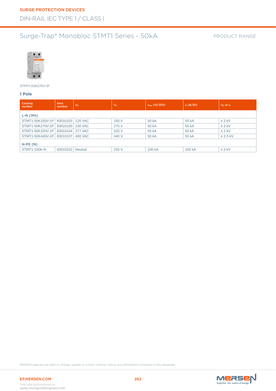### Surge-Trap® Monobloc STMT1 Series - 50kA



STMT1-50K275V-1P

#### **1 Pole**

| Catalog<br>number           | <b>Item</b><br>number | $U_n$          | $U_c$ | $l_{\text{imp}}$ (10/350) | $I_n(8/20)$ | $U_{\rm p}$ at $I_{\rm n}$ |
|-----------------------------|-----------------------|----------------|-------|---------------------------|-------------|----------------------------|
| $L-N(1Ph)$                  |                       |                |       |                           |             |                            |
| STMT1-50K150V-1P   83010103 |                       | <b>120 VAC</b> | 150 V | 50 kA                     | 50 kA       | $\leq$ 2 kV                |
| STMT1-50K275V-1P            | 83010100              | 230 VAC        | 275 V | 50 kA                     | 50 kA       | $\leq 2$ kV                |
| STMT1-50K320V-1P            | 83010104 277 VAC      |                | 320 V | 50 kA                     | 50 kA       | $\leq$ 2 kV                |
| STMT1-50K440V-1P   83010107 |                       | <b>400 VAC</b> | 440 V | 50 kA                     | 50 kA       | $\leq$ 2.5 kV              |
| $N-PE(N)$                   |                       |                |       |                           |             |                            |
| <b>STMT1-100K-N</b>         | 83010102              | Neutral        | 255 V | 100 kA                    | 100 kA      | $\leq 2$ kV                |

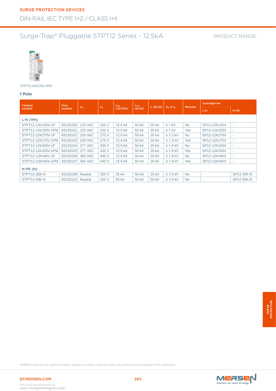#### PRODUCT RANGE



STPT12-12K275V-1PM

#### **1 Pole**

| Catalog             | Item.    |                |       | l <sub>imp</sub> | Imax   |             |                |            | <b>Cartridge No</b> |                          |  |
|---------------------|----------|----------------|-------|------------------|--------|-------------|----------------|------------|---------------------|--------------------------|--|
| number              | number   | $U_n$          | $U_c$ | (10/350)         | (8/20) | $I_n(8/20)$ | $U_p$ at $I_n$ | Remote     | L-N                 | $N-PE$                   |  |
| $L-N(1Ph)$          |          |                |       |                  |        |             |                |            |                     |                          |  |
| STPT12-12K150V-1P   | 83120100 | <b>120 VAC</b> | 150 V | 12.5 kA          | 50 kA  | 20 kA       | $\leq 1$ kV    | <b>No</b>  | SP12-12K150V        | $\overline{\phantom{a}}$ |  |
| STPT12-12K150V-1PM  | 83120101 | <b>120 VAC</b> | 150 V | 12.5 kA          | 50 kA  | 20 kA       | $\leq$ 1 kV    | Yes        | SP12-12K150V        | ٠                        |  |
| STPT12-12K275V-1P   | 83120102 | <b>230 VAC</b> | 275 V | 12.5 kA          | 50 kA  | 20 kA       | $\leq$ 1.3 kV  | <b>No</b>  | SP12-12K275V        | $\sim$                   |  |
| STPT12-12K275V-1PM  | 83120103 | <b>230 VAC</b> | 275 V | 12.5 kA          | 50 kA  | 20 kA       | $\leq$ 1.3 kV  | Yes        | SP12-12K275V        | ٠                        |  |
| STPT12-12K320V-1P   | 83120104 | <b>277 VAC</b> | 320 V | 12.5 kA          | 50 kA  | 20 kA       | $\leq$ 1.4 kV  | <b>No</b>  | SP12-12K320V        | ٠                        |  |
| STPT12-12K320V-1PM  | 83120105 | <b>277 VAC</b> | 320 V | 12.5 kA          | 50 kA  | 20 kA       | $\leq$ 1.4 kV  | <b>Yes</b> | SP12-12K320V        | ٠                        |  |
| STPT12-12K440V-1P   | 83120106 | 400 VAC        | 440 V | 12.5 kA          | 50 kA  | 20 kA       | $\leq$ 1.8 kV  | <b>No</b>  | SP12-12K440V        | ٠                        |  |
| STPT12-12K440V-1PM  | 83120107 | 400 VAC        | 440 V | 12.5 kA          | 50 kA  | 20 kA       | $\leq$ 1.8 kV  | Yes        | SP12-12K440V        | ٠                        |  |
| $N-PE(N)$           |          |                |       |                  |        |             |                |            |                     |                          |  |
| <b>STPT12-25K-N</b> | 83120108 | <b>Neutral</b> | 255 V | 25 kA            | 50 kA  | 25 kA       | $\leq$ 1.5 kV  | <b>No</b>  | ٠                   | SP12-25K-N               |  |
| STPT12-50K-N        | 83120110 | <b>Neutral</b> | 255 V | 50 kA            | 50 kA  | 50 kA       | $\leq$ 1.5 kV  | <b>No</b>  | ٠                   | SP12-50K-N               |  |

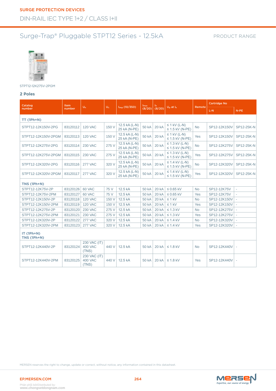#### PRODUCT RANGE



#### STPT12-12K275V-2PGM

#### **2 Poles**

| Catalog                    | Item     |                                         |       |                               | Imax         | In.          |                                             |            | <b>Cartridge No</b> |                          |
|----------------------------|----------|-----------------------------------------|-------|-------------------------------|--------------|--------------|---------------------------------------------|------------|---------------------|--------------------------|
| number                     | number   | $U_n$                                   | $U_c$ | $_{\text{limp}}$ (10/350)     | (8/20)       | (8/20)       | $U_p$ at $I_n$                              | Remote     | $L-N$               | $N-PE$                   |
| $TT(1Ph+N)$                |          |                                         |       |                               |              |              |                                             |            |                     |                          |
| STPT12-12K150V-2PG         | 83120112 | <b>120 VAC</b>                          | 150 V | 12.5 kA (L-N)<br>25 kA (N-PE) | <b>50 kA</b> | <b>20 kA</b> | $\leq$ 1 kV (L-N)<br>$\leq$ 1.5 kV (N-PE)   | <b>No</b>  | SP12-12K150V        | SP12-25K-N               |
| STPT12-12K150V-2PGM        | 83120113 | <b>120 VAC</b>                          | 150 V | 12.5 kA (L-N)<br>25 kA (N-PE) | <b>50 kA</b> | <b>20 kA</b> | $\leq$ 1 kV (L-N)<br>$\leq$ 1.5 kV (N-PE)   | Yes        | SP12-12K150V        | SP12-25K-N               |
| STPT12-12K275V-2PG         | 83120114 | <b>230 VAC</b>                          | 275 V | 12.5 kA (L-N)<br>25 kA (N-PE) | <b>50 kA</b> | <b>20 kA</b> | $\leq$ 1.3 kV (L-N)<br>$\leq$ 1.5 kV (N-PE) | <b>No</b>  | SP12-12K275V        | SP12-25K-N               |
| STPT12-12K275V-2PGM        | 83120115 | <b>230 VAC</b>                          | 275 V | 12.5 kA (L-N)<br>25 kA (N-PE) | <b>50 kA</b> | <b>20 kA</b> | $\leq$ 1.3 kV (L-N)<br>$\leq$ 1.5 kV (N-PE) | Yes        | SP12-12K275V        | SP12-25K-N               |
| STPT12-12K320V-2PG         | 83120116 | <b>277 VAC</b>                          | 320 V | 12.5 kA (L-N)<br>25 kA (N-PE) | 50 kA        | <b>20 kA</b> | $\leq$ 1.4 kV (L-N)<br>$\leq$ 1.5 kV (N-PE) | <b>No</b>  | SP12-12K320V        | SP12-25K-N               |
| STPT12-12K320V-2PGM        | 83120117 | <b>277 VAC</b>                          | 320 V | 12.5 kA (L-N)<br>25 kA (N-PE) | 50 kA        | 20 kA        | $\leq$ 1.4 kV (L-N)<br>$\leq$ 1.5 kV (N-PE) | <b>Yes</b> | SP12-12K320V        | SP12-25K-N               |
| TNS (1Ph+N)                |          |                                         |       |                               |              |              |                                             |            |                     |                          |
| STPT12-12K75V-2P           | 83120126 | 60 VAC                                  | 75 V  | 12.5 kA                       | 50 kA        | <b>20 kA</b> | $\leq$ 0.65 kV                              | <b>No</b>  | SP12-12K75V         |                          |
| STPT12-12K75V-2PM          | 83120127 | 60 VAC                                  | 75 V  | 12.5 kA                       | 50 kA        | 20 kA        | $\leq$ 0.65 kV                              | Yes        | SP12-12K75V         | $\overline{\phantom{a}}$ |
| STPT12-12K150V-2P          | 83120118 | <b>120 VAC</b>                          | 150 V | 12.5 kA                       | 50 kA        | 20 kA        | $\leq 1$ kV                                 | <b>No</b>  | SP12-12K150V        | $\sim$                   |
| STPT12-12K150V-2PM         | 83120119 | <b>120 VAC</b>                          | 150 V | 12.5 kA                       | 50 kA        | 20 kA        | $\leq 1$ kV                                 | Yes        | SP12-12K150V        | $\sim$                   |
| STPT12-12K275V-2P          | 83120120 | <b>230 VAC</b>                          | 275 V | 12.5 kA                       | 50 kA        | 20 kA        | $\leq$ 1.3 kV                               | <b>No</b>  | SP12-12K275V        | $\sim$                   |
| STPT12-12K275V-2PM         | 83120121 | <b>230 VAC</b>                          | 275 V | 12.5 kA                       | 50 kA        | 20 kA        | $\leq$ 1.3 kV                               | Yes        | SP12-12K275V        | $\sim$                   |
| STPT12-12K320V-2P          | 83120122 | <b>277 VAC</b>                          | 320 V | 12.5 kA                       | 50 kA        | 20 kA        | $\leq$ 1.4 kV                               | <b>No</b>  | SP12-12K320V        | $\sim$                   |
| STPT12-12K320V-2PM         | 83120123 | <b>277 VAC</b>                          | 320 V | 12.5 kA                       | 50 kA        | 20 kA        | $\leq$ 1.4 kV                               | Yes        | SP12-12K320V        | $\sim$                   |
| $IT(1Ph+N)$<br>TNS (1Ph+N) |          |                                         |       |                               |              |              |                                             |            |                     |                          |
| STPT12-12K440V-2P          | 83120124 | 230 VAC (IT)<br><b>400 VAC</b><br>(TNS) | 440 V | 12.5 kA                       | 50 kA        | 20 kA        | $\leq$ 1.8 kV                               | <b>No</b>  | SP12-12K440V        | $\sim$                   |
| STPT12-12K440V-2PM         | 83120125 | 230 VAC (IT)<br><b>400 VAC</b><br>(TNS) | 440 V | 12.5 kA                       | 50 kA        | 20 kA        | $\leq$ 1.8 kV                               | Yes        | SP12-12K440V        | $\overline{\phantom{a}}$ |



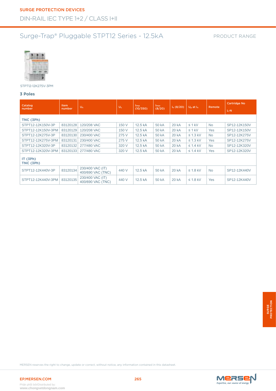#### PRODUCT RANGE



STPT12-12K275V-3PM

#### **3 Poles**

| Catalog<br>number     | <b>Item</b><br>number | $U_n$                                 | $U_c$ | limp<br>(10/350) | <i>Imax</i><br>(8/20) | $I_n(8/20)$ | $U_p$ at $I_n$ | Remote         | <b>Cartridge No</b><br>L-N |
|-----------------------|-----------------------|---------------------------------------|-------|------------------|-----------------------|-------------|----------------|----------------|----------------------------|
| TNC (3Ph)             |                       |                                       |       |                  |                       |             |                |                |                            |
| STPT12-12K150V-3P     | 83120128              | 120/208 VAC                           | 150 V | 12.5 kA          | 50 kA                 | 20 kA       | $\leq 1$ kV    | <b>No</b>      | SP12-12K150V               |
| STPT12-12K150V-3PM    | 83120129              | 120/208 VAC                           | 150 V | 12.5 kA          | 50 kA                 | 20 kA       | $\leq 1$ kV    | Yes            | SP12-12K150V               |
| STPT12-12K275V-3P     | 83120130              | 230/400 VAC                           | 275 V | 12.5 kA          | 50 kA                 | 20 kA       | $\leq$ 1.3 kV  | N <sub>o</sub> | SP12-12K275V               |
| STPT12-12K275V-3PM    | 83120131              | 230/400 VAC                           | 275 V | 12.5 kA          | 50 kA                 | 20 kA       | $\leq$ 1.3 kV  | <b>Yes</b>     | SP12-12K275V               |
| STPT12-12K320V-3P     | 83120132              | 277/480 VAC                           | 320 V | 12.5 kA          | 50 kA                 | 20 kA       | $\leq$ 1.4 kV  | N <sub>o</sub> | SP12-12K320V               |
| STPT12-12K320V-3PM    | 83120133              | 277/480 VAC                           | 320 V | 12.5 kA          | 50 kA                 | 20 kA       | $\leq$ 1.4 kV  | Yes            | SP12-12K320V               |
| IT (3Ph)<br>TNC (3Ph) |                       |                                       |       |                  |                       |             |                |                |                            |
| STPT12-12K440V-3P     | 83120134              | 230/400 VAC (IT)<br>400/690 VAC (TNC) | 440 V | 12.5 kA          | 50 kA                 | 20 kA       | $\leq$ 1.8 kV  | <b>No</b>      | SP12-12K440V               |
| STPT12-12K440V-3PM    | 83120135              | 230/400 VAC (IT)<br>400/690 VAC (TNC) | 440 V | 12.5 kA          | 50 kA                 | 20 kA       | $\leq$ 1.8 kV  | Yes            | SP12-12K440V               |

MERSEN reserves the right to change, update or correct, without notice, any information contained in this datasheet.

SURGE<br>PROTECTION **PROTECTION**

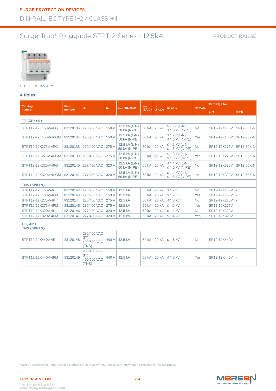#### PRODUCT RANGE



STPT12-12K275V-4PM

#### **4 Poles**

| Catalog                 | Item     |                                             |       |                               | <b>Imax</b>  | In.          |                                             |            | <b>Cartridge No</b> |                          |
|-------------------------|----------|---------------------------------------------|-------|-------------------------------|--------------|--------------|---------------------------------------------|------------|---------------------|--------------------------|
| number                  | number   | $U_n$                                       | $U_c$ | $I_{\text{imp}}(10/350)$      | (8/20)       | (8/20)       | $U_p$ at $I_n$                              | Remote     | L-N                 | N-PE                     |
| TT (3Ph+N)              |          |                                             |       |                               |              |              |                                             |            |                     |                          |
| STPT12-12K150V-4PG      | 83120136 | 120/208 VAC                                 | 150 V | 12.5 kA (L-N)<br>50 kA (N-PE) | 50 kA        | <b>20 kA</b> | $\leq$ 1 kV (L-N)<br>$\leq$ 1.5 kV (N-PE)   | <b>No</b>  | SP12-12K150V        | SP12-50K-N               |
| STPT12-12K150V-4PGM     | 83120137 | 120/208 VAC                                 | 150 V | 12.5 kA (L-N)<br>50 kA (N-PE) | <b>50 kA</b> | <b>20 kA</b> | $\leq$ 1 kV (L-N)<br>$\leq$ 1.5 kV (N-PE)   | <b>Yes</b> | SP12-12K150V        | SP12-50K-N               |
| STPT12-12K275V-4PG      | 83120138 | 230/400 VAC                                 | 275 V | 12.5 kA (L-N)<br>50 kA (N-PE) | <b>50 kA</b> | <b>20 kA</b> | $\leq$ 1.3 kV (L-N)<br>$\leq$ 1.5 kV (N-PE) | <b>No</b>  | SP12-12K275V        | SP12-50K-N               |
| STPT12-12K275V-4PGM     | 83120139 | 230/400 VAC                                 | 275 V | 12.5 kA (L-N)<br>50 kA (N-PE) | 50 kA        | 20 kA        | $\leq$ 1.3 kV (L-N)<br>$\leq$ 1.5 kV (N-PE) | Yes        | SP12-12K275V        | SP12-50K-N               |
| STPT12-12K320V-4PG      | 83120140 | 277/480 VAC                                 | 320 V | 12.5 kA (L-N)<br>50 kA (N-PE) | 50 kA        | <b>20 kA</b> | $\leq$ 1.4 kV (L-N)<br>$\leq$ 1.5 kV (N-PE) | <b>No</b>  | SP12-12K320V        | SP12-50K-N               |
| STPT12-12K320V-4PGM     | 83120141 | 277/480 VAC                                 | 320 V | 12.5 kA (L-N)<br>50 kA (N-PE) | 50 kA        | <b>20 kA</b> | $\leq$ 1.4 kV (L-N)<br>$\leq$ 1.5 kV (N-PE) | Yes        | SP12-12K320V        | SP12-50K-N               |
| TNS (3Ph+N)             |          |                                             |       |                               |              |              |                                             |            |                     |                          |
| STPT12-12K150V-4P       | 83120142 | 120/208 VAC                                 | 150 V | 12.5 kA                       | 50 kA        | 20 kA        | $\leq 1$ kV                                 | <b>No</b>  | SP12-12K150V        | $\sim$                   |
| STPT12-12K150V-4PM      | 83120143 | 120/208 VAC                                 | 150 V | 12.5 kA                       | 50 kA        | 20 kA        | $\leq 1$ kV                                 | Yes        | SP12-12K150V        | $\sim$                   |
| STPT12-12K275V-4P       | 83120144 | 230/400 VAC                                 | 275 V | 12.5 kA                       | 50 kA        | 20 kA        | $\leq$ 1.3 kV                               | <b>No</b>  | SP12-12K275V        |                          |
| STPT12-12K275V-4PM      | 83120145 | 230/400 VAC                                 | 275 V | 12.5 kA                       | 50 kA        | 20 kA        | $\leq$ 1.3 kV                               | Yes        | SP12-12K275V        | $\overline{\phantom{a}}$ |
| STPT12-12K320V-4P       | 83120146 | 277/480 VAC                                 | 320 V | 12.5 kA                       | 50 kA        | 20 kA        | $\leq$ 1.4 kV                               | <b>No</b>  | SP12-12K320V        | $\overline{\phantom{a}}$ |
| STPT12-12K320V-4PM      | 83120147 | 277/480 VAC                                 | 320 V | 12.5 kA                       | 50 kA        | 20 kA        | $\leq$ 1.4 kV                               | Yes        | SP12-12K320V        | $\overline{\phantom{a}}$ |
| IT (3Ph)<br>TNS (3Ph+N) |          |                                             |       |                               |              |              |                                             |            |                     |                          |
| STPT12-12K440V-4P       | 83120148 | 230/400 VAC<br>(IT)<br>400/690 VAC<br>(TNS) | 440 V | 12.5 kA                       | 50 kA        | 20 kA        | $\leq$ 1.8 kV                               | <b>No</b>  | SP12-12K440V        |                          |
| STPT12-12K440V-4PM      | 83120149 | 230/400 VAC<br>(IT)<br>400/690 VAC<br>(TNS) | 440 V | 12.5 kA                       | 50 kA        | 20 kA        | $\leq$ 1.8 kV                               | Yes        | SP12-12K440V        | $\sim$                   |



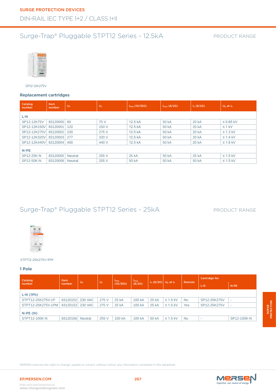#### PRODUCT RANGE



SP12-12K275V

#### **Replacement cartridges**

| Catalog<br>number | <b>Item</b><br>number | $U_n$          | $U_c$ | $I_{\text{imp}}(10/350)$ | $I_{max}$ (8/20) | $I_n(8/20)$ | $U_p$ at $I_n$ |
|-------------------|-----------------------|----------------|-------|--------------------------|------------------|-------------|----------------|
| L-N               |                       |                |       |                          |                  |             |                |
| SP12-12K75V       | 83120000              | 60             | 75 V  | 12.5 kA                  | 50 kA            | 20 kA       | $\leq$ 0.65 kV |
| SP12-12K150V      | 83120001              | 120            | 150 V | 12.5 kA                  | 50 kA            | 20 kA       | $\leq 1$ kV    |
| SP12-12K275V      | 83120002              | 230            | 275 V | 12.5 kA                  | 50 kA            | 20 kA       | $\leq$ 1.3 kV  |
| SP12-12K320V      | 83120003              | 277            | 320 V | 12.5 kA                  | 50 kA            | 20 kA       | $\leq$ 1.4 kV  |
| SP12-12K440V      | 83120004              | 400            | 440 V | 12.5 kA                  | 50 kA            | 20 kA       | $\leq$ 1.8 kV  |
| $N-PE$            |                       |                |       |                          |                  |             |                |
| SP12-25K-N        | 83120005              | <b>Neutral</b> | 255 V | 25 kA                    | 50 kA            | 25 kA       | $\leq$ 1.5 kV  |
| SP12-50K-N        | 83120006              | <b>Neutral</b> | 255 V | 50 kA                    | 50 kA            | 50 kA       | $\leq$ 1.5 kV  |

### Surge-Trap® Pluggable STPT12 Series - 25kA

#### PRODUCT RANGE



STPT12-25K275V-1PM

#### **1 Pole**

| Catalog            | Item     | $U_n$          | $U_c$ | limp     | Imax   |       | $I_n$ (8/20) U <sub>p</sub> at $I_n$ | Remote    | <b>Cartridge No</b> |             |
|--------------------|----------|----------------|-------|----------|--------|-------|--------------------------------------|-----------|---------------------|-------------|
| number             | number   |                |       | (10/350) | (8/20) |       |                                      |           | L-N                 | $N-PE$      |
| $L-N(1Ph)$         |          |                |       |          |        |       |                                      |           |                     |             |
| STPT12-25K275V-1P  | 83120152 | <b>230 VAC</b> | 275 V | 25 kA    | 100 kA | 25 kA | $\leq$ 1.5 kV                        | <b>No</b> | SP12-25K275V        |             |
| STPT12-25K275V-1PM | 83120153 | 230 VAC        | 275 V | 25 kA    | 100 kA | 25 kA | $\leq$ 1.5 kV                        | Yes       | SP12-25K275V        |             |
| $N-PE(N)$          |          |                |       |          |        |       |                                      |           |                     |             |
| STPT12-100K-N      | 83120166 | <b>Neutral</b> | 255 V | 100 kA   | 100 kA | 50 kA | $\leq$ 1.5 kV                        | <b>No</b> | $\sim$              | SP12-100K-N |



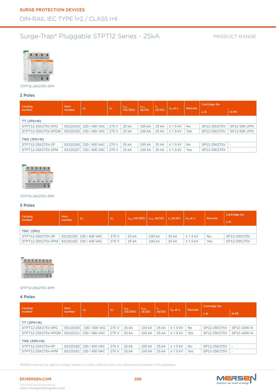#### PRODUCT RANGE



STPT12-25K275V-2PM

#### **2 Poles**

| Catalog             | <b>Item</b> |               |       | limp.    | <b>Imax</b> | In.    | $U_D$ at $I_n$ |           | <b>Cartridge No</b> |              |
|---------------------|-------------|---------------|-------|----------|-------------|--------|----------------|-----------|---------------------|--------------|
| number              | number      | $U_n$         | $U_c$ | (10/350) | (8/20)      | (8/20) |                | Remote    | L-N                 | $N-PE$       |
| $TT(1Ph+N)$         |             |               |       |          |             |        |                |           |                     |              |
| STPT12-25K275V-2PG  | 83120154    | 230 / 400 VAC | 275 V | 25 kA    | 100 kA      | 25 kA  | $\leq$ 1.5 kV  | <b>No</b> | SP12-25K275V        | SP12-50K-2PN |
| STPT12-25K275V-2PGM | 83120155    | 230 / 400 VAC | 275 V | 25 kA    | 100 kA      | 25 kA  | $\leq$ 1.5 kV  | Yes       | SP12-25K275V        | SP12-50K-2PN |
| TNS (1Ph+N)         |             |               |       |          |             |        |                |           |                     |              |
| STPT12-25K275V-2P   | 83120156    | 230 / 400 VAC | 275 V | 25 kA    | 100 kA      | 25 kA  | $\leq$ 1.5 kV  | <b>No</b> | SP12-25K275V        |              |
| STPT12-25K275V-2PM  | 83120157    | 230 / 400 VAC | 275 V | 25 kA    | 100 kA      | 25 kA  | $\leq$ 1.5 kV  | Yes       | SP12-25K275V        |              |



#### STPT12-25K275V-3PM

#### **3 Poles**

| Catalog<br>number  | <b>Item</b><br>number | $U_n$         | $U_c$ | $I_{\text{imp}}(10/350)$ $I_{\text{max}}(8/20)$ |        | $I_n(8/20)$ | $U_p$ at $I_n$ | Remote | <b>Cartridge No</b><br>L-N |
|--------------------|-----------------------|---------------|-------|-------------------------------------------------|--------|-------------|----------------|--------|----------------------------|
| TNC (3Ph)          |                       |               |       |                                                 |        |             |                |        |                            |
| STPT12-25K275V-3P  | 83120158              | 230 / 400 VAC | 275 V | 25 kA                                           | 100 kA | 25 kA       | $\leq$ 1.5 kV  | No.    | SP12-25K275V               |
| STPT12-25K275V-3PM | 83120159              | 230 / 400 VAC | 275 V | 25 kA                                           | 100 kA | 25 kA       | $\leq$ 1.5 kV  | Yes    | SP12-25K275V               |



#### STPT12-25K275V-4PM

#### **4 Poles**

| Catalog<br>number   | <b>Item</b> | $U_n$         |       | l <sub>imp</sub> | I <sub>max</sub> | $\mathsf{I}_{\mathsf{n}}$ |                |           | <b>Cartridge No</b> |             |
|---------------------|-------------|---------------|-------|------------------|------------------|---------------------------|----------------|-----------|---------------------|-------------|
|                     | number      |               | $U_c$ | (10/350)         | (8/20)           | (8/20)                    | $U_D$ at $I_D$ | Remote    | L-N                 | $N-PE$      |
| $TT(3Ph+N)$         |             |               |       |                  |                  |                           |                |           |                     |             |
| STPT12-25K275V-4PG  | 83120150    | 230 / 400 VAC | 275 V | 25 kA            | 100 kA           | 25 kA                     | $\leq$ 1.5 kV  | <b>No</b> | SP12-25K275V        | SP12-100K-N |
| STPT12-25K275V-4PGM | 83120151    | 230 / 400 VAC | 275 V | 25 kA            | 100 kA           | 25 kA                     | $\leq$ 1.5 kV  | Yes       | SP12-25K275V        | SP12-100K-N |
| TNS (3Ph+N)         |             |               |       |                  |                  |                           |                |           |                     |             |
| STPT12-25K275V-4P   | 83120160    | 230 / 400 VAC | 275 V | 25 kA            | 100 kA           | 25 kA                     | $\leq$ 1.5 kV  | <b>No</b> | SP12-25K275V        |             |
| STPT12-25K275V-4PM  | 83120161    | 230 / 400 VAC | 275 V | 25 kA            | 100 kA           | 25 kA                     | $\leq$ 1.5 kV  | Yes       | SP12-25K275V        | ٠           |

MERSEN reserves the right to change, update or correct, without notice, any information contained in this datasheet.

EP.MERSEN.COM 268

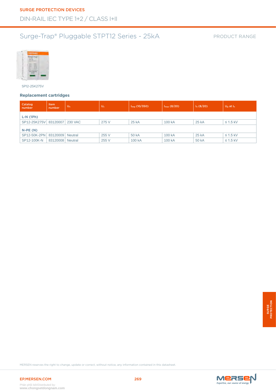

SP12-25K275V

#### **Replacement cartridges**

| Catalog<br>number | <b>Item</b><br>number | $U_n$   | $U_c$ | $I_{\text{imp}}(10/350)$ | $I_{\text{max}}(8/20)$ | $I_n(8/20)$ | $U_p$ at $I_n$ |
|-------------------|-----------------------|---------|-------|--------------------------|------------------------|-------------|----------------|
| $L-N(1Ph)$        |                       |         |       |                          |                        |             |                |
| SP12-25K275V      | 83120007              | 230 VAC | 275 V | 25 kA                    | 100 kA                 | 25 kA       | $\leq$ 1.5 kV  |
| $N-PE(N)$         |                       |         |       |                          |                        |             |                |
| SP12-50K-2PN      | 83120009 Neutral      |         | 255 V | 50 kA                    | 100 kA                 | 25 kA       | $\leq$ 1.5 kV  |
| SP12-100K-N       | 83120008 Neutral      |         | 255 V | 100 kA                   | 100 kA                 | 50 kA       | $\leq$ 1.5 kV  |

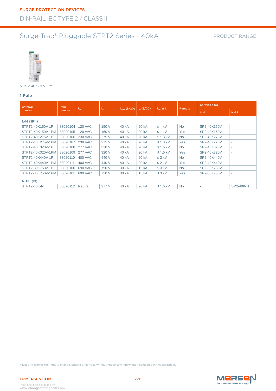#### PRODUCT RANGE



STPT2-40K275V-1PM

#### **1 Pole**

| Catalog           | <b>Item</b> | $U_n$          |       |                  |             |                |           | <b>Cartridge No</b> |                  |  |
|-------------------|-------------|----------------|-------|------------------|-------------|----------------|-----------|---------------------|------------------|--|
| number            | number      |                | $U_c$ | $I_{max}$ (8/20) | $I_n(8/20)$ | $U_p$ at $I_n$ | Remote    | L-N                 | $N-PE$           |  |
| $L-N(1Ph)$        |             |                |       |                  |             |                |           |                     |                  |  |
| STPT2-40K150V-1P  | 83020104    | <b>120 VAC</b> | 150 V | 40 kA            | 20 kA       | $\leq 1$ kV    | <b>No</b> | SP2-40K150V         | $\sim$           |  |
| STPT2-40K150V-1PM | 83020105    | <b>120 VAC</b> | 150 V | 40 kA            | 20 kA       | $\leq 1$ kV    | Yes       | SP2-40K150V         | ٠                |  |
| STPT2-40K275V-1P  | 83020106    | <b>230 VAC</b> | 275 V | 40 kA            | 20 kA       | $\leq$ 1.3 kV  | <b>No</b> | SP2-40K275V         | ٠                |  |
| STPT2-40K275V-1PM | 83020107    | <b>230 VAC</b> | 275 V | 40 kA            | 20 kA       | $\leq$ 1.3 kV  | Yes       | SP2-40K275V         | ٠                |  |
| STPT2-40K320V-1P  | 83020108    | <b>277 VAC</b> | 320 V | 40 kA            | 20 kA       | $\leq$ 1.5 kV  | <b>No</b> | SP2-40K320V         | ٠                |  |
| STPT2-40K320V-1PM | 83020109    | <b>277 VAC</b> | 320 V | 40 kA            | 20 kA       | $\leq$ 1.5 kV  | Yes       | SP2-40K320V         | ٠                |  |
| STPT2-40K440V-1P  | 83020110    | <b>400 VAC</b> | 440 V | 40 kA            | 20 kA       | $\leq$ 2 kV    | <b>No</b> | SP2-40K440V         | ٠                |  |
| STPT2-40K440V-1PM | 83020111    | <b>400 VAC</b> | 440 V | 40 kA            | 20 kA       | $\leq$ 2 kV    | Yes       | SP2-40K440V         | ٠                |  |
| STPT2-30K750V-1P  | 83020100    | 690 VAC        | 750 V | 30 kA            | 15 kA       | $\leq$ 3 kV    | <b>No</b> | SP2-30K750V         | ٠                |  |
| STPT2-30K750V-1PM | 83020101    | 690 VAC        | 750 V | 30 kA            | 15 kA       | $\leq$ 3 kV    | Yes       | SP2-30K750V         | ٠                |  |
| $N-PE(N)$         |             |                |       |                  |             |                |           |                     |                  |  |
| STPT2-40K-N       | 83020112    | <b>Neutral</b> | 277 V | 40 kA            | 20 kA       | $\leq$ 1.5 kV  | <b>No</b> | ٠                   | <b>SP2-40K-N</b> |  |

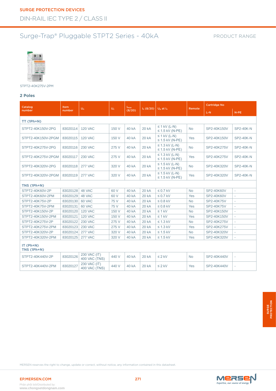#### PRODUCT RANGE



STPT2-40K275V-2PM

#### **2 Poles**

| Catalog                        | Item     |                                      |       | Imax         |              |                                             |           | <b>Cartridge No</b> |                          |
|--------------------------------|----------|--------------------------------------|-------|--------------|--------------|---------------------------------------------|-----------|---------------------|--------------------------|
| number                         | number   | $U_n$                                | $U_c$ | (8/20)       | $I_n(8/20)$  | $U_p$ at $I_n$                              | Remote    | $L-N$               | $N-PE$                   |
| $TT(1Ph+N)$                    |          |                                      |       |              |              |                                             |           |                     |                          |
| STPT2-40K150V-2PG              | 83020114 | <b>120 VAC</b>                       | 150 V | 40 kA        | 20 kA        | $\leq$ 1 kV (L-N)<br>$\leq$ 1.5 kV (N-PE)   | <b>No</b> | SP2-40K150V         | <b>SP2-40K-N</b>         |
| STPT2-40K150V-2PGM             | 83020115 | <b>120 VAC</b>                       | 150 V | 40 kA        | <b>20 kA</b> | $\leq$ 1 kV (L-N)<br>$\leq$ 1.5 kV (N-PE)   | Yes       | SP2-40K150V         | <b>SP2-40K-N</b>         |
| STPT2-40K275V-2PG              | 83020116 | <b>230 VAC</b>                       | 275 V | 40 kA        | <b>20 kA</b> | $\leq$ 1.3 kV (L-N)<br>$\leq$ 1.5 kV (N-PE) | <b>No</b> | SP2-40K275V         | <b>SP2-40K-N</b>         |
| STPT2-40K275V-2PGM             | 83020117 | <b>230 VAC</b>                       | 275 V | 40 kA        | <b>20 kA</b> | $\leq$ 1.3 kV (L-N)<br>$\leq$ 1.5 kV (N-PE) | Yes       | SP2-40K275V         | <b>SP2-40K-N</b>         |
| STPT2-40K320V-2PG              | 83020118 | <b>277 VAC</b>                       | 320 V | 40 kA        | <b>20 kA</b> | $\leq$ 1.5 kV (L-N)<br>$\leq$ 1.5 kV (N-PE) | <b>No</b> | SP2-40K320V         | <b>SP2-40K-N</b>         |
| STPT2-40K320V-2PGM             | 83020119 | <b>277 VAC</b>                       | 320 V | 40 kA        | <b>20 kA</b> | $\leq$ 1.5 kV (L-N)<br>$\leq$ 1.5 kV (N-PE) | Yes       | SP2-40K320V         | <b>SP2-40K-N</b>         |
| $TNS(1Ph+N)$                   |          |                                      |       |              |              |                                             |           |                     |                          |
| STPT2-40K60V-2P                | 83020128 | 48 VAC                               | 60 V  | <b>40 kA</b> | <b>20 kA</b> | $\leq$ 0.7 kV                               | <b>No</b> | SP2-40K60V          | ٠                        |
| STPT2-40K60V-2PM               | 83020129 | 48 VAC                               | 60 V  | 40 kA        | <b>20 kA</b> | $\leq$ 0.7 kV                               | Yes       | SP2-40K60V          | $\overline{\phantom{a}}$ |
| STPT2-40K75V-2P                | 83020130 | 60 VAC                               | 75 V  | 40 kA        | 20 kA        | $\leq$ 0.8 kV                               | <b>No</b> | SP2-40K75V          | $\overline{\phantom{a}}$ |
| STPT2-40K75V-2PM               | 83020131 | 60 VAC                               | 75 V  | 40 kA        | <b>20 kA</b> | $\leq 0.8$ kV                               | Yes       | SP2-40K75V          | $\sim$                   |
| STPT2-40K150V-2P               | 83020120 | <b>120 VAC</b>                       | 150 V | 40 kA        | 20 kA        | $\leq 1$ kV                                 | <b>No</b> | SP2-40K150V         | $\overline{\phantom{a}}$ |
| STPT2-40K150V-2PM              | 83020121 | <b>120 VAC</b>                       | 150 V | 40 kA        | <b>20 kA</b> | $\leq 1$ kV                                 | Yes       | SP2-40K150V         | $\sim$                   |
| STPT2-40K275V-2P               | 83020122 | <b>230 VAC</b>                       | 275 V | 40 kA        | 20 kA        | $\leq$ 1.3 kV                               | <b>No</b> | SP2-40K275V         | $\overline{\phantom{a}}$ |
| STPT2-40K275V-2PM              | 83020123 | <b>230 VAC</b>                       | 275 V | 40 kA        | <b>20 kA</b> | $\leq$ 1.3 kV                               | Yes       | SP2-40K275V         | $\sim$                   |
| STPT2-40K320V-2P               | 83020124 | <b>277 VAC</b>                       | 320 V | 40 kA        | 20 kA        | $\leq$ 1.5 kV                               | <b>No</b> | SP2-40K320V         | $\overline{\phantom{a}}$ |
| STPT2-40K320V-2PM              | 83020125 | <b>277 VAC</b>                       | 320 V | 40 kA        | <b>20 kA</b> | $\leq$ 1.5 kV                               | Yes       | SP2-40K320V         | $\overline{\phantom{a}}$ |
| $IT$ ( $Ph+N$ )<br>TNS (1Ph+N) |          |                                      |       |              |              |                                             |           |                     |                          |
| STPT2-40K440V-2P               | 83020126 | 230 VAC (IT)<br><b>400 VAC (TNS)</b> | 440 V | 40 kA        | <b>20 kA</b> | $\leq 2$ kV                                 | <b>No</b> | SP2-40K440V         | $\overline{\phantom{a}}$ |
| STPT2-40K440V-2PM              | 83020127 | 230 VAC (IT)<br><b>400 VAC (TNS)</b> | 440 V | 40 kA        | <b>20 kA</b> | $\leq$ 2 kV                                 | Yes       | SP2-40K440V         | ÷,                       |

**SURGE<br>PROTECTION PROTECTION**

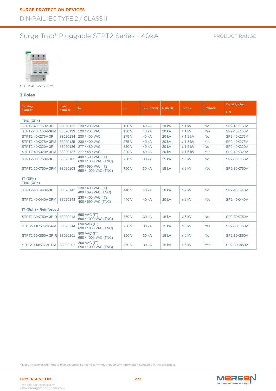#### PRODUCT RANGE



STPT2-40K275V-3PM

#### **3 Poles**

| Catalog<br>number     | <b>Item</b><br>number | $U_n$                                      | $U_c$ | Imax(8/20) | $I_n(8/20)$  | $U_p$ at $I_n$ | Remote    | <b>Cartridge No</b><br>L-N |
|-----------------------|-----------------------|--------------------------------------------|-------|------------|--------------|----------------|-----------|----------------------------|
| TNC (3Ph)             |                       |                                            |       |            |              |                |           |                            |
| STPT2-40K150V-3P      | 83020132              | 120 / 208 VAC                              | 150 V | 40 kA      | 20 kA        | $\leq 1$ kV    | <b>No</b> | SP2-40K150V                |
| STPT2-40K150V-3PM     | 83020133              | 120 / 208 VAC                              | 150 V | 40 kA      | 20 kA        | $\leq 1$ kV    | Yes       | SP2-40K150V                |
| STPT2-40K275V-3P      | 83020134              | 230 / 400 VAC                              | 275 V | 40 kA      | 20 kA        | $\leq$ 1.3 kV  | <b>No</b> | SP2-40K275V                |
| STPT2-40K275V-3PM     | 83020135              | 230 / 400 VAC                              | 275 V | 40 kA      | 20 kA        | $\leq$ 1.3 kV  | Yes       | SP2-40K275V                |
| STPT2-40K320V-3P      | 83020136              | 277 / 480 VAC                              | 320 V | 40 kA      | 20 kA        | $\leq$ 1.5 kV  | <b>No</b> | SP2-40K320V                |
| STPT2-40K320V-3PM     | 83020137              | 277 / 480 VAC                              | 320 V | 40 kA      | 20 kA        | $\leq$ 1.5 kV  | Yes       | SP2-40K320V                |
| STPT2-30K750V-3P      | 83020102              | 400 / 690 VAC (IT)<br>690 / 1000 VAC (TNC) | 750 V | 30 kA      | <b>15 kA</b> | $\leq 3$ kV    | <b>No</b> | SP2-30K750V                |
| STPT2-30K750V-3PM     | 83020103              | 400 / 690 VAC (IT)<br>690 / 1000 VAC (TNC) | 750 V | 30 kA      | <b>15 kA</b> | $\leq 3$ kV    | Yes       | SP2-30K750V                |
| IT(3Ph)<br>TNC (3Ph)  |                       |                                            |       |            |              |                |           |                            |
| STPT2-40K440V-3P      | 83020142              | 230 / 400 VAC (IT)<br>400 / 690 VAC (TNC)  | 440 V | 40 kA      | 20 kA        | $\leq 2$ kV    | <b>No</b> | SP2-40K440V                |
| STPT2-40K440V-3PM     | 83020143              | 230 / 400 VAC (IT)<br>400 / 690 VAC (TNC)  | 440 V | 40 kA      | 20 kA        | $\leq 2$ kV    | Yes       | SP2-40K440V                |
| IT (3ph) - Reinforced |                       |                                            |       |            |              |                |           |                            |
| STPT2-30K750V-3P-R    | 83020213              | 690 VAC (IT)<br>690 / 1000 VAC (TNC)       | 750 V | 30 kA      | 15 kA        | $\leq 6$ kV    | <b>No</b> | SP2-30K750V                |
| STPT2-30K750V-3P-RM   | 83020214              | 690 VAC (IT)<br>690 / 1000 VAC (TNC)       | 750 V | 30 kA      | <b>15 kA</b> | $\leq 6$ kV    | Yes       | SP2-30K750V                |
| STPT2-30K850V-3P-R    | 83020201              | 800 VAC (IT)<br>690 / 1000 VAC (TNC)       | 850 V | 30 kA      | 15 kA        | $\leq 6$ kV    | <b>No</b> | SP2-30K850V                |
| STPT2-30K850V-3P-RM   | 83020202              | 800 VAC (IT)<br>690 / 1000 VAC (TNC)       | 850 V | 30 kA      | <b>15 kA</b> | $\leq 6$ kV    | Yes       | SP2-30K850V                |

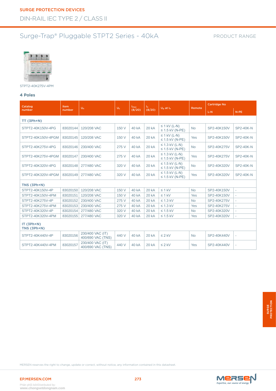### DIN-RAIL IEC TYPE 2 / CLASS II SURGE PROTECTION DEVICES

# Surge-Trap® Pluggable STPT2 Series - 40kA

#### PRODUCT RANGE



STPT2-40K275V-4PM

#### **4 Poles**

| Catalog                    | <b>Item</b> |                                       |       | <i>Imax</i> | In.          |                                             |           | <b>Cartridge No</b> |                          |  |
|----------------------------|-------------|---------------------------------------|-------|-------------|--------------|---------------------------------------------|-----------|---------------------|--------------------------|--|
| number                     | number      | $U_n$                                 | $U_c$ | (8/20)      | (8/20)       | $U_p$ at $I_n$                              | Remote    | L-N                 | $N-PE$                   |  |
| TT (3Ph+N)                 |             |                                       |       |             |              |                                             |           |                     |                          |  |
| STPT2-40K150V-4PG          | 83020144    | 120/208 VAC                           | 150 V | 40 kA       | <b>20 kA</b> | $\leq$ 1 kV (L-N)<br>$\leq$ 1.5 kV (N-PE)   | <b>No</b> | SP2-40K150V         | <b>SP2-40K-N</b>         |  |
| STPT2-40K150V-4PGM         | 83020145    | 120/208 VAC                           | 150 V | 40 kA       | <b>20 kA</b> | $\leq$ 1 kV (L-N)<br>$\leq$ 1.5 kV (N-PE)   | Yes       | SP2-40K150V         | <b>SP2-40K-N</b>         |  |
| STPT2-40K275V-4PG          | 83020146    | 230/400 VAC                           | 275 V | 40 kA       | <b>20 kA</b> | $\leq$ 1.3 kV (L-N)<br>$\leq$ 1.5 kV (N-PE) | <b>No</b> | SP2-40K275V         | <b>SP2-40K-N</b>         |  |
| STPT2-40K275V-4PGM         | 83020147    | 230/400 VAC                           | 275 V | 40 kA       | <b>20 kA</b> | $\leq$ 1.3 kV (L-N)<br>$\leq$ 1.5 kV (N-PE) | Yes       | SP2-40K275V         | <b>SP2-40K-N</b>         |  |
| STPT2-40K320V-4PG          | 83020148    | 277/480 VAC                           | 320 V | 40 kA       | <b>20 kA</b> | $\leq$ 1.5 kV (L-N)<br>$\leq$ 1.5 kV (N-PE) | <b>No</b> | SP2-40K320V         | <b>SP2-40K-N</b>         |  |
| STPT2-40K320V-4PGM         | 83020149    | 277/480 VAC                           | 320 V | 40 kA       | <b>20 kA</b> | $\leq$ 1.5 kV (L-N)<br>$\leq$ 1.5 kV (N-PE) | Yes       | SP2-40K320V         | <b>SP2-40K-N</b>         |  |
| TNS (3Ph+N)                |             |                                       |       |             |              |                                             |           |                     |                          |  |
| STPT2-40K150V-4P           | 83020150    | 120/208 VAC                           | 150 V | 40 kA       | 20 kA        | $\leq 1$ kV                                 | <b>No</b> | SP2-40K150V         | $\overline{\phantom{a}}$ |  |
| STPT2-40K150V-4PM          | 83020151    | 120/208 VAC                           | 150 V | 40 kA       | <b>20 kA</b> | $\leq 1$ kV                                 | Yes       | SP2-40K150V         | $\overline{\phantom{0}}$ |  |
| STPT2-40K275V-4P           | 83020152    | 230/400 VAC                           | 275 V | 40 kA       | <b>20 kA</b> | $\leq$ 1.3 kV                               | <b>No</b> | SP2-40K275V         | $\overline{\phantom{a}}$ |  |
| STPT2-40K275V-4PM          | 83020153    | 230/400 VAC                           | 275 V | 40 kA       | <b>20 kA</b> | $\leq$ 1.3 kV                               | Yes       | SP2-40K275V         | $\overline{\phantom{a}}$ |  |
| STPT2-40K320V-4P           | 83020154    | 277/480 VAC                           | 320 V | 40 kA       | <b>20 kA</b> | $\leq$ 1.5 kV                               | <b>No</b> | SP2-40K320V         | L,                       |  |
| STPT2-40K320V-4PM          | 83020155    | 277/480 VAC                           | 320 V | 40 kA       | 20 kA        | $\leq$ 1.5 kV                               | Yes       | SP2-40K320V         | $\overline{\phantom{a}}$ |  |
| $IT(3Ph+N)$<br>TNS (3Ph+N) |             |                                       |       |             |              |                                             |           |                     |                          |  |
| STPT2-40K440V-4P           | 83020156    | 230/400 VAC (IT)<br>400/690 VAC (TNS) | 440 V | 40 kA       | <b>20 kA</b> | $\leq$ 2 kV                                 | <b>No</b> | SP2-40K440V         | $\overline{\phantom{a}}$ |  |
| STPT2-40K440V-4PM          | 83020157    | 230/400 VAC (IT)<br>400/690 VAC (TNS) | 440 V | 40 kA       | <b>20 kA</b> | $\leq$ 2 kV                                 | Yes       | SP2-40K440V         | L,                       |  |

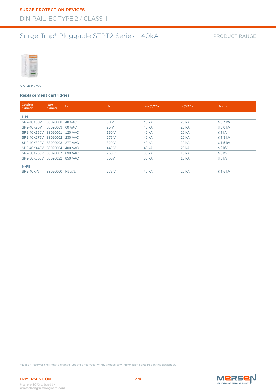

SP2-40K275V

#### **Replacement cartridges**

| Catalog<br>number | <b>Item</b><br>number | $\overline{\mathbf{U}}_n$ | $U_c$ | $I_{max}$ (8/20) | $I_n(8/20)$  | $U_D$ at $I_D$ |
|-------------------|-----------------------|---------------------------|-------|------------------|--------------|----------------|
| L-N               |                       |                           |       |                  |              |                |
| SP2-40K60V        | 83020008              | 48 VAC                    | 60 V  | 40 kA            | 20 kA        | $\leq$ 0.7 kV  |
| SP2-40K75V        | 83020009              | 60 VAC                    | 75 V  | 40 kA            | 20 kA        | $\leq$ 0.8 kV  |
| SP2-40K150V       | 83020001              | <b>120 VAC</b>            | 150 V | 40 kA            | 20 kA        | $\leq 1$ kV    |
| SP2-40K275V       | 83020002              | <b>230 VAC</b>            | 275 V | 40 kA            | 20 kA        | $\leq$ 1.3 kV  |
| SP2-40K320V       | 83020003              | <b>277 VAC</b>            | 320 V | 40 kA            | 20 kA        | $\leq$ 1.5 kV  |
| SP2-40K440V       | 83020004              | 400 VAC                   | 440 V | 40 kA            | 20 kA        | $\leq 2$ kV    |
| SP2-30K750V       | 83020007              | 690 VAC                   | 750 V | 30 kA            | <b>15 kA</b> | $\leq$ 3 kV    |
| SP2-30K850V       | 83020022              | 850 VAC                   | 850V  | 30 kA            | <b>15 kA</b> | $\leq$ 3 kV    |
| $N-PE$            |                       |                           |       |                  |              |                |
| <b>SP2-40K-N</b>  | 83020000              | Neutral                   | 277 V | 40 kA            | 20 kA        | $\leq$ 1.5 kV  |

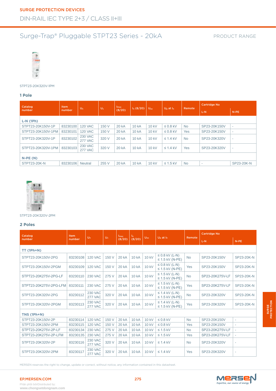#### PRODUCT RANGE



#### STPT23-20K320V-1PM

#### **1 Pole**

| Catalog            | <b>Item</b> | $U_n$                            | $U_c$ | Imax   | $I_n(8/20)$       | $U_{\alpha c}$ | $U_p$ at $I_n$ | Remote    | <b>Cartridge No</b> |                          |
|--------------------|-------------|----------------------------------|-------|--------|-------------------|----------------|----------------|-----------|---------------------|--------------------------|
| number             | number      |                                  |       | (8/20) |                   |                |                |           | L-N                 | $N-PE$                   |
| $L-N(1Ph)$         |             |                                  |       |        |                   |                |                |           |                     |                          |
| STPT23-20K150V-1P  | 83230100    | <b>120 VAC</b>                   | 150 V | 20 kA  | 10 <sub>k</sub> A | 10 kV          | $\leq$ 0.8 kV  | <b>No</b> | SP23-20K150V        | $\overline{\phantom{a}}$ |
| STPT23-20K150V-1PM | 83230101    | <b>120 VAC</b>                   | 150 V | 20 kA  | 10 kA             | 10 kV          | $\leq$ 0.8 kV  | Yes       | SP23-20K150V        | ٠                        |
| STPT23-20K320V-1P  | 83230102    | 230 VAC<br><b>277 VAC</b>        | 320 V | 20 kA  | 10 kA             | 10 kV          | $\leq$ 1.4 kV  | <b>No</b> | SP23-20K320V        | $\overline{\phantom{a}}$ |
| STPT23-20K320V-1PM | 83230103    | <b>230 VAC</b><br><b>277 VAC</b> | 320 V | 20 kA  | 10 kA             | 10 kV          | $\leq$ 1.4 kV  | Yes       | SP23-20K320V        | $\overline{\phantom{a}}$ |
| $N-PE(N)$          |             |                                  |       |        |                   |                |                |           |                     |                          |
| STPT23-20K-N       | 83230106    | <b>Neutral</b>                   | 255 V | 20 kA  | 10 kA             | 10 kV          | $\leq$ 1.5 kV  | <b>No</b> | ٠                   | SP23-20K-N               |



STPT23-20K320V-2PM

#### **2 Poles**

| Catalog                | Item     | $U_n$                            | $U_c$ | Imax         | In.          | $U_{\rm oc}$ | $U_p$ at $I_n$                              | Remote    | <b>Cartridge No</b> |                          |
|------------------------|----------|----------------------------------|-------|--------------|--------------|--------------|---------------------------------------------|-----------|---------------------|--------------------------|
| number                 | number   |                                  |       | (8/20)       | (8/20)       |              |                                             |           | $L-N$               | $N-PE$                   |
| $TT(1Ph+N)$            |          |                                  |       |              |              |              |                                             |           |                     |                          |
| STPT23-20K150V-2PG     | 83230108 | <b>120 VAC</b>                   | 150 V | <b>20 kA</b> | <b>10 kA</b> | <b>10 kV</b> | $\leq$ 0.8 kV (L-N)<br>$\leq$ 1.5 kV (N-PE) | <b>No</b> | SP23-20K150V        | SP23-20K-N               |
| STPT23-20K150V-2PGM    | 83230109 | <b>120 VAC</b>                   | 150 V | <b>20 kA</b> | <b>10 kA</b> | <b>10 kV</b> | $\leq$ 0.8 kV (L-N)<br>$\leq$ 1.5 kV (N-PE) | Yes       | SP23-20K150V        | SP23-20K-N               |
| STPT23-20K275V-2PG-LF  | 83230110 | <b>230 VAC</b>                   | 275 V | <b>20 kA</b> | <b>10 kA</b> | 10 kV        | $\leq$ 1.5 kV (L-N)<br>$\leq$ 1.5 kV (N-PE) | <b>No</b> | SP23-20K275V-LF     | SP23-20K-N               |
| STPT23-20K275V-2PG-LFM | 83230111 | <b>230 VAC</b>                   | 275 V | <b>20 kA</b> | <b>10 kA</b> | <b>10 kV</b> | $\leq$ 1.5 kV (L-N)<br>$\leq$ 1.5 kV (N-PE) | Yes       | SP23-20K275V-LF     | SP23-20K-N               |
| STPT23-20K320V-2PG     | 83230112 | <b>230 VAC</b><br><b>277 VAC</b> | 320 V | <b>20 kA</b> | <b>10 kA</b> | 10 kV        | $\leq$ 1.4 kV (L-N)<br>$\leq$ 1.5 kV (N-PE) | <b>No</b> | SP23-20K320V        | SP23-20K-N               |
| STPT23-20K320V-2PGM    | 83230113 | <b>230 VAC</b><br><b>277 VAC</b> | 320 V | 20 kA        | <b>10 kA</b> | <b>10 kV</b> | $\leq$ 1.4 kV (L-N)<br>$\leq$ 1.5 kV (N-PE) | Yes       | SP23-20K320V        | SP23-20K-N               |
| TNS (1Ph+N)            |          |                                  |       |              |              |              |                                             |           |                     |                          |
| STPT23-20K150V-2P      | 83230114 | <b>120 VAC</b>                   | 150 V | <b>20 kA</b> | <b>10 kA</b> | 10 kV        | $\leq 0.8$ kV                               | <b>No</b> | SP23-20K150V        | $\overline{\phantom{a}}$ |
| STPT23-20K150V-2PM     | 83230115 | <b>120 VAC</b>                   | 150 V | <b>20 kA</b> | <b>10 kA</b> | <b>10 kV</b> | $\leq$ 0.8 kV                               | Yes       | SP23-20K150V        | $\overline{\phantom{a}}$ |
| STPT23-20K275V-2P-LF   | 83230134 | <b>230 VAC</b>                   | 275 V | <b>20 kA</b> | <b>10 kA</b> | 10 kV        | $\leq$ 1.5 kV                               | <b>No</b> | SP23-20K275V-LF     | $\overline{\phantom{a}}$ |
| STPT23-20K275V-2P-LFM  | 83230135 | <b>230 VAC</b>                   | 275 V | <b>20 kA</b> | <b>10 kA</b> | 10 kV        | $\leq$ 1.5 kV                               | Yes       | SP23-20K275V-LF     | $\overline{\phantom{a}}$ |
| STPT23-20K320V-2P      | 83230116 | <b>230 VAC</b><br><b>277 VAC</b> | 320 V | 20 kA        | <b>10 kA</b> | 10 kV        | $\leq$ 1.4 kV                               | <b>No</b> | SP23-20K320V        | $\overline{\phantom{a}}$ |
| STPT23-20K320V-2PM     | 83230117 | <b>230 VAC</b><br><b>277 VAC</b> | 320 V | 20 kA        | <b>10 kA</b> | 10 kV        | $\leq$ 1.4 kV                               | Yes       | SP23-20K320V        | ٠                        |

MERSEN reserves the right to change, update or correct, without notice, any information contained in this datasheet.

EP.MERSEN.COM 275

Phân phối bởi/Distributed by: **www.chongsetdongnam.com**

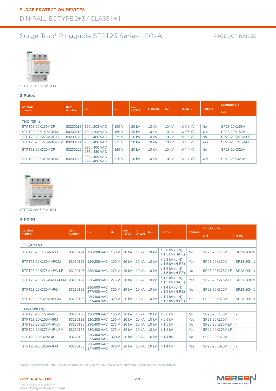#### PRODUCT RANGE



STPT23-20K320V-3PM

#### **3 Poles**

| Catalog               | <b>Item</b> | $U_n$                          | $U_c$ | Imax   | $I_n(8/20)$       | $U_{\rm oc}$ | $U_D$ at $I_D$ | Remote    | <b>Cartridge No</b> |
|-----------------------|-------------|--------------------------------|-------|--------|-------------------|--------------|----------------|-----------|---------------------|
| number                | number      |                                |       | (8/20) |                   |              |                |           | L-N                 |
| TNC (3Ph)             |             |                                |       |        |                   |              |                |           |                     |
| STPT23-20K150V-3P     | 83230118    | 120 / 208 VAC                  | 150 V | 20 kA  | 10 kA             | 10 kV        | $\leq$ 0.8 kV  | <b>No</b> | SP23-20K150V        |
| STPT23-20K150V-3PM    | 83230119    | 120 / 208 VAC                  | 150 V | 20 kA  | <b>10 kA</b>      | 10 kV        | $\leq$ 0.8 kV  | Yes       | SP23-20K150V        |
| STPT23-20K275V-3P-LF  | 83230120    | 230 / 400 VAC                  | 275 V | 20 kA  | 10 kA             | 10 kV        | $\leq$ 1.5 kV  | <b>No</b> | SP23-20K275V-LF     |
| STPT23-20K275V-3P-LFM | 83230121    | 230 / 400 VAC                  | 275 V | 20 kA  | 10 kA             | 10 kV        | $\leq$ 1.5 kV  | Yes       | SP23-20K275V-LF     |
| STPT23-20K320V-3P     | 83230122    | 230 / 400 VAC<br>277 / 480 VAC | 320 V | 20 kA  | 10 <sub>k</sub> A | 10 kV        | $\leq$ 1.4 kV  | <b>No</b> | SP23-20K320V        |
| STPT23-20K320V-3PM    | 83230123    | 230 / 400 VAC<br>277 / 480 VAC | 320 V | 20 kA  | 10 <sub>k</sub> A | 10 kV        | $\leq 1.4$ kV  | Yes       | SP23-20K320V        |



STPT23-20K320V-4PM

#### **4 Poles**

| Catalog                | Item     | $U_n$                      | $U_c$ | <i>Imax</i>  | In.          | $U_{\rm oc}$ | $U_p$ at $I_n$                              | Remote     | <b>Cartridge No</b> |                          |
|------------------------|----------|----------------------------|-------|--------------|--------------|--------------|---------------------------------------------|------------|---------------------|--------------------------|
| number                 | number   |                            |       | (8/20)       | (8/20)       |              |                                             |            | $L-N$               | $N-PE$                   |
| TT (3Ph+N)             |          |                            |       |              |              |              |                                             |            |                     |                          |
| STPT23-20K150V-4PG     | 83230124 | 120/208 VAC                | 150 V | <b>20 kA</b> | <b>10 kA</b> | 10 kV        | $\leq$ 0.8 kV (L-N)<br>$\leq$ 1.5 kV (N-PE) | <b>No</b>  | SP23-20K150V        | SP23-20K-N               |
| STPT23-20K150V-4PGM    | 83230125 | 120/208 VAC                | 150 V | <b>20 kA</b> | <b>10 kA</b> | <b>10 kV</b> | $\leq$ 0.8 kV (L-N)<br>$\leq$ 1.5 kV (N-PE) | Yes        | SP23-20K150V        | SP23-20K-N               |
| STPT23-20K275V-4PG-LF  | 83230126 | 230/400 VAC                | 275 V | <b>20 kA</b> | <b>10 kA</b> | <b>10 kV</b> | $\leq$ 1.5 kV (L-N)<br>$\leq$ 1.5 kV (N-PE) | <b>No</b>  | SP23-20K275V-LF     | SP23-20K-N               |
| STPT23-20K275V-4PG-LFM | 83230127 | 230/400 VAC                | 275 V | 20 kA        | <b>10 kA</b> | 10 kV        | $\leq$ 1.5 kV (L-N)<br>$\leq$ 1.5 kV (N-PE) | <b>Yes</b> | SP23-20K275V-LF     | SP23-20K-N               |
| STPT23-20K320V-4PG     | 83230128 | 230/400 VAC<br>277/400 VAC | 320 V | 20 kA        | <b>10 kA</b> | 10 kV        | $\leq$ 1.4 kV (L-N)<br>$\leq$ 1.5 kV (N-PE) | <b>No</b>  | SP23-20K320V        | SP23-20K-N               |
| STPT23-20K320V-4PGM    | 83230129 | 230/400 VAC<br>277/400 VAC | 320 V | 20 kA        | <b>10 kA</b> | <b>10 kV</b> | $\leq$ 1.4 kV (L-N)<br>$\leq$ 1.5 kV (N-PE) | Yes        | SP23-20K320V        | SP23-20K-N               |
| TNS (3Ph+N)            |          |                            |       |              |              |              |                                             |            |                     |                          |
| STPT23-20K150V-4P      | 83230130 | 120/208 VAC                | 150 V | <b>20 kA</b> | <b>10 kA</b> | 10 kV        | $\leq$ 0.8 kV                               | <b>No</b>  | SP23-20K150V        | $\sim$                   |
| STPT23-20K150V-4PM     | 83230131 | 120/208 VAC                | 150 V | 20 kA        | <b>10 kA</b> | 10 kV        | $\leq$ 0.8 kV                               | Yes        | SP23-20K150V        | $\sim$                   |
| STPT23-20K275V-4P-LF   | 83230136 | 230/400 VAC                | 275 V | 20 kA        | <b>10 kA</b> | 10 kV        | $\leq$ 1.5 kV                               | <b>No</b>  | SP23-20K275V-LF     |                          |
| STPT23-20K275V-4P-LFM  | 83230137 | 230/400 VAC                | 275 V | <b>20 kA</b> | <b>10 kA</b> | <b>10 kV</b> | $\leq$ 1.5 kV                               | Yes        | SP23-20K275V-LF     | ٠                        |
| STPT23-20K320V-4P      | 83230132 | 230/400 VAC<br>277/400 VAC | 320 V | 20 kA        | 10 kA        | <b>10 kV</b> | $\leq$ 1.4 kV                               | <b>No</b>  | SP23-20K320V        | ٠                        |
| STPT23-20K320V-4PM     | 83230133 | 230/400 VAC<br>277/400 VAC | 320 V | 20 kA        | <b>10 kA</b> | 10 kV        | $\leq$ 1.4 kV                               | Yes        | SP23-20K320V        | $\overline{\phantom{a}}$ |

MERSEN reserves the right to change, update or correct, without notice, any information contained in this datasheet.

EP.MERSEN.COM 276

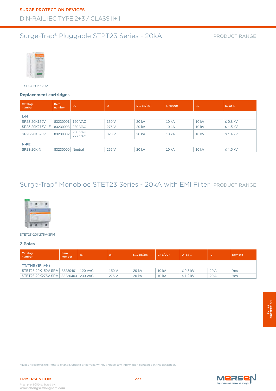

SP23-20K320V

#### **Replacement cartridges**

| Catalog<br>number | <b>Item</b><br>number | $U_n$                            | $U_c$ | $I_{max}$ (8/20) | $I_n(8/20)$  | $U_{\alpha c}$ | $U_p$ at $I_n$ |
|-------------------|-----------------------|----------------------------------|-------|------------------|--------------|----------------|----------------|
| L-N               |                       |                                  |       |                  |              |                |                |
| SP23-20K150V      | 83230001              | <b>120 VAC</b>                   | 150 V | 20 kA            | 10 kA        | 10 kV          | $\leq$ 0.8 kV  |
| SP23-20K275V-LF   | 83230003              | <b>230 VAC</b>                   | 275 V | 20 kA            | <b>10 kA</b> | 10 kV          | $\leq$ 1.5 kV  |
| SP23-20K320V      | 83230002              | <b>230 VAC</b><br><b>277 VAC</b> | 320 V | 20 kA            | 10 kA        | 10 kV          | $\leq$ 1.4 kV  |
| $N-PE$            |                       |                                  |       |                  |              |                |                |
| SP23-20K-N        | 83230000              | <b>Neutral</b>                   | 255 V | 20 kA            | 10 kA        | 10 kV          | $\leq$ 1.5 kV  |

### Surge-Trap® Monobloc STET23 Series - 20kA with EMI Filter PRODUCT RANGE



STET23-20K275V-SPM

#### **2 Poles**

| <b>Catalog</b><br>number              | Item<br>number | $U_n$ | 'Ua   | $I_{max}$ (8/20) | $I_n(8/20)$       | $U_p$ at $I_n$ | TΡ  | Remote |
|---------------------------------------|----------------|-------|-------|------------------|-------------------|----------------|-----|--------|
| TT/TNS (1Ph+N)                        |                |       |       |                  |                   |                |     |        |
| STET23-20K150V-SPM 83230401   120 VAC |                |       | 150 V | 20 kA            | 10 <sub>k</sub> A | $\leq$ 0.8 kV  | 20A | Yes    |
| STET23-20K275V-SPM 83230403 230 VAC   |                |       | 275 V | 20 kA            | 10 <sub>k</sub> A | $\leq$ 1.2 kV  | 20A | Yes    |



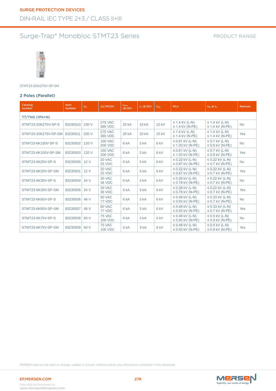### Surge-Trap® Monobloc STMT23 Series



STMT23-20K275V-SP-SM

#### **2 Poles (Parallel)**

| Catalog<br>number    | <b>Item</b><br>number | $U_n$ | Uc/MCOV                          | Imax<br>(8/20)   | $I_n(8/20)$ | $U_{\rm oc}$    | <b>MLV</b>                                    | $U_p$ at $I_n$                               | Remote     |
|----------------------|-----------------------|-------|----------------------------------|------------------|-------------|-----------------|-----------------------------------------------|----------------------------------------------|------------|
| TT/TNS (1Ph+N)       |                       |       |                                  |                  |             |                 |                                               |                                              |            |
| STMT23-20K275V-SP-S  | 83230510              | 230 V | <b>275 VAC</b><br>365 VDC        | 20 kA            | 10 kA       | 10 kV           | $\leq$ 1.4 kV (L-N)<br>$\leq$ 1.4 kV (N-PE)   | $\leq$ 1.4 kV (L-N)<br>$\leq$ 1.4 kV (N-PE)  | <b>No</b>  |
| STMT23-20K275V-SP-SM | 83230511              | 230 V | <b>275 VAC</b><br>365 VDC        | 20 kA            | 10 kA       | 10 kV           | $\leq$ 1.4 kV (L-N)<br>$\leq$ 1.4 kV (N-PE)   | $\leq$ 1.4 kV (L-N)<br>$\leq$ 1.4 kV (N-PE)  | Yes        |
| STMT23-6K150V-SP-S   | 83230502              | 120 V | <b>150 VAC</b><br><b>200 VDC</b> | 6 <sub>k</sub> A | 3 kA        | 6 kV            | $\leq$ 0.61 kV (L-N)<br>$\leq$ 1.03 kV (N-PE) | $\leq$ 0.7 kV (L-N)<br>$\leq$ 0.9 kV (N-PE)  | <b>No</b>  |
| STMT23-6K150V-SP-SM  | 83230503              | 120 V | <b>150 VAC</b><br><b>200 VDC</b> | 6 <sub>k</sub> A | 3 kA        | 6 kV            | $\leq$ 0.61 kV (L-N)<br>$\leq$ 1.03 kV (N-PE) | $\leq$ 0.7 kV (L-N)<br>$\leq$ 0.9 kV (N-PE)  | <b>Yes</b> |
| STMT23-6K20V-SP-S    | 83230500              | 12V   | 20 VAC<br>25 VDC                 | 6 <sub>k</sub> A | 3 kA        | 6 <sub>kV</sub> | $\leq$ 0.22 kV (L-N)<br>$\leq$ 0.67 kV (N-PE) | $\leq$ 0.22 kV (L-N)<br>$\leq$ 0.7 kV (N-PE) | <b>No</b>  |
| STMT23-6K20V-SP-SM   | 83230501              | 12V   | 20 VAC<br>25 VDC                 | 6 <sub>k</sub> A | 3 kA        | 6 <sub>kV</sub> | $\leq$ 0.22 kV (L-N)<br>$\leq$ 0.67 kV (N-PE) | $\leq$ 0.22 kV (L-N)<br>$\leq$ 0.7 kV (N-PE) | <b>Yes</b> |
| STMT23-6K30V-SP-S    | 83230504              | 24 V  | 30 VAC<br>36 VDC                 | 6 kA             | 3 kA        | 6 <sub>kV</sub> | $≤$ 0.26 kV (L-N)<br>$\leq$ 0.78 kV (N-PE)    | $\leq$ 0.22 kV (L-N)<br>$\leq$ 0.7 kV (N-PE) | <b>No</b>  |
| STMT23-6K30V-SP-SM   | 83230505              | 24 V  | 30 VAC<br>36 VDC                 | 6 <sub>k</sub> A | 3 kA        | 6 kV            | $\leq$ 0.26 kV (L-N)<br>$\leq$ 0.78 kV (N-PE) | $\leq$ 0.22 kV (L-N)<br>$\leq$ 0.7 kV (N-PE) | <b>Yes</b> |
| STMT23-6K60V-SP-S    | 83230506              | 48 V  | 60 VAC<br>77 VDC                 | 6 <sub>k</sub> A | 3 kA        | 6 <sub>kV</sub> | ≤ 0.48 kV (L-N)<br>$\leq$ 0.93 kV (N-PE)      | $\leq$ 0.33 kV (L-N)<br>$\leq$ 0.7 kV (N-PE) | <b>No</b>  |
| STMT23-6K60V-SP-SM   | 83230507              | 48 V  | 60 VAC<br>77 VDC                 | 6 <sub>k</sub> A | 3 kA        | 6 kV            | $\leq$ 0.48 kV (L-N)<br>$\leq$ 0.93 kV (N-PE) | $\leq$ 0.33 kV (L-N)<br>$\leq$ 0.7 kV (N-PE) | <b>Yes</b> |
| STMT23-6K75V-SP-S    | 83230508              | 60 V  | 75 VAC<br><b>100 VDC</b>         | 6 kA             | 3 kA        | 6 kV            | $\leq$ 0.48 kV (L-N)<br>$\leq$ 0.93 kV (N-PE) | $\leq$ 0.5 kV (L-N)<br>$\leq$ 0.9 kV (N-PE)  | <b>No</b>  |
| STMT23-6K75V-SP-SM   | 83230509              | 60 V  | 75 VAC<br>100 VDC                | 6 <sub>k</sub> A | 3 kA        | 6 <sub>kV</sub> | $\leq$ 0.48 kV (L-N)<br>$\leq$ 0.93 kV (N-PE) | $\leq$ 0.5 kV (L-N)<br>$\leq$ 0.9 kV (N-PE)  | Yes        |

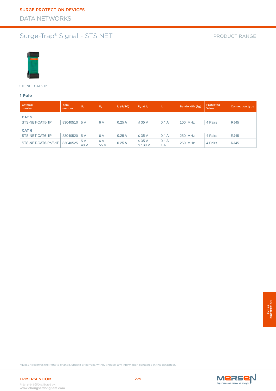# Surge-Trap® Signal - STS NET



STS-NET-CAT5-1P

#### **1 Pole**

| Catalog<br>number   | Item<br>number | $U_n$       | $U_c$       | $I_n(8/20)$ | $U_p$ at $I_n$              | IL.         | Bandwidth (fg) | Protected<br><b>Wires</b> | <b>Connection type</b> |
|---------------------|----------------|-------------|-------------|-------------|-----------------------------|-------------|----------------|---------------------------|------------------------|
| CAT <sub>5</sub>    |                |             |             |             |                             |             |                |                           |                        |
| STS-NET-CAT5-1P     | 83040510 5 V   |             | 6 V         | 0.25A       | $\leq$ 35 V                 | 0.1A        | 100 MHz        | 4 Pairs                   | <b>RJ45</b>            |
| CAT <sub>6</sub>    |                |             |             |             |                             |             |                |                           |                        |
| STS-NET-CAT6-1P     | 83040520 5 V   |             | 6 V         | 0.25A       | $\leq$ 35 V                 | 0.1A        | 250 MHz        | 4 Pairs                   | <b>RJ45</b>            |
| STS-NET-CAT6-PoE-1P | 83040525       | 5 V<br>48 V | 6 V<br>55 V | 0.25A       | $\leq$ 35 V<br>$\leq$ 130 V | 0.1A<br>1 A | 250 MHz        | 4 Pairs                   | <b>RJ45</b>            |

MERSEN reserves the right to change, update or correct, without notice, any information contained in this datasheet.

Phân phối bởi/Distributed by: **www.chongsetdongnam.com**

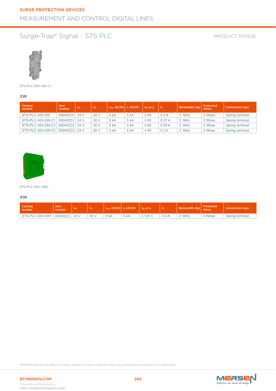### Surge-Trap® Signal - STS PLC

#### PRODUCT RANGE



STS-PLC-30V-2W-C1

#### **2W**

| Catalog<br>number | Item<br>number | $U_n$ | $U_c$ | $I_{max}$ (8/20) $I_n$ (8/20) |      | $U_p$ at $I_n$ | ۱Ŀ    | Bandwidth (fg) | Protected<br><b>Wires</b> | <b>Connection type</b> |
|-------------------|----------------|-------|-------|-------------------------------|------|----------------|-------|----------------|---------------------------|------------------------|
| STS-PLC-30V-2W    | 83040220 24 V  |       | 30V   | 5 kA                          | 5 kA | $\leq 45$      | 0.3A  | 3 MHz          | 2 Wires                   | Spring terminal        |
| STS-PLC-30V-2W-C1 | 83040221       | 24 V  | 30 V  | 5 kA                          | 5 kA | $\leq 50$      | 0.37A | 3 MHz          | 2 Wires                   | Spring terminal        |
| STS-PLC-30V-2W-C2 | 83040222 24 V  |       | 30 V  | 5 kA                          | 5 kA | $\leq 60$      | 0.35A | 3 MHz          | 2 Wires                   | Spring terminal        |
| STS-PLC-30V-2W-C3 | 83040223 24 V  |       | 30 V  | 5 kA                          | 5 kA | $\leq 40$      | 0.3A  | 3 MHz          | 2 Wires                   | Spring terminal        |



#### STS-PLC-30V-4W1

#### **4W**

| Catalog<br>number          | Item<br>number | Un   | $U_c$ | $I_{\text{max}}(8/20)$ $I_n(8/20)$ |      | U <sub>p</sub> at I <sub>n</sub> | T.   | Bandwidth (fg) Wires | Protected | Connection type |
|----------------------------|----------------|------|-------|------------------------------------|------|----------------------------------|------|----------------------|-----------|-----------------|
| STS-PLC-30V-4W1   83040211 |                | 24 V | 30 V  | 5 kA                               | 5 kA | ≤ 120 V                          | 0.5A | 2 MHz                | 4 Wires   | Spring terminal |

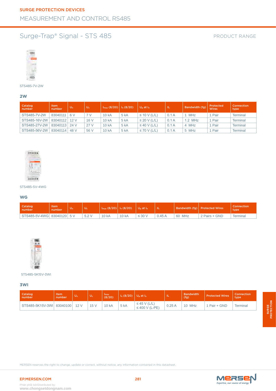### <span id="page-21-0"></span>Surge-Trap® Signal - STS 485

PRODUCT RANGE



#### STS485-7V-2W

#### **2W**

| Catalog<br>number | Item<br>number  | $U_n$ | $U_c$ | $I_{\text{max}}(8/20)$ | $I_n(8/20)$ | $U_D$ at $I_D$    | ш.   | Bandwidth (fg) | Protected<br>Wires | Connection<br>type |
|-------------------|-----------------|-------|-------|------------------------|-------------|-------------------|------|----------------|--------------------|--------------------|
| STS485-7V-2W      | 83040111        | 6V    | 7 V   | <b>10 kA</b>           | 5 kA        | $\leq$ 10 V (L/L) | 0.1A | <b>MHz</b>     | 1 Pair             | <b>Terminal</b>    |
| STS485-16V-2W     | 83040112        | 12V   | 16 V  | 10 kA                  | 5 kA        | $\leq$ 20 V (L/L) | 0.1A | $1.2$ MHz      | 1 Pair             | <b>Terminal</b>    |
| STS485-27V-2W     | 83040113   24 V |       | 27 V  | <b>10 kA</b>           | 5 kA        | $\leq 40$ V (L/L) | 0.1A | 4 MHz          | 1 Pair             | <b>Terminal</b>    |
| STS485-56V-2W     | 83040114        | 48 V  | 56 V  | 10 kA                  | 5 kA        | $\leq$ 70 V (L/L) | 0.1A | 5 MHz          | 1 Pair             | <b>Terminal</b>    |



#### STS485-5V-4WG

#### **WG**

| Catalog<br>number          | Item<br>number | Un | $U_c$ |              | $I_{\text{max}}(8/20)$ $I_{\text{n}}(8/20)$ | ⊾l U <sub>n</sub> at In' |        |        | Bandwidth (fg)   Protected Wires | Connection<br>type |
|----------------------------|----------------|----|-------|--------------|---------------------------------------------|--------------------------|--------|--------|----------------------------------|--------------------|
| STS485-5V-4WG 83040120 5 V |                |    | 5.2V  | <b>10 kA</b> | <b>10 kA</b>                                | $\leq 30$ V              | ).45 A | 60 MHz | 2 Pairs + GND                    | Terminal           |



STS485-5K15V-3WI

#### **3WI**

| Catalog<br>number         | <b>Item</b><br>number | $U_n$ | $U_c$ | <b>Imax</b><br>(8/20) | $I_n (8/20)$ U <sub>p</sub> at $I_n$ |                                          | ٦L    | <b>Bandwidth</b><br>(fg) | <b>Protected Wires</b> | Connection<br>type |
|---------------------------|-----------------------|-------|-------|-----------------------|--------------------------------------|------------------------------------------|-------|--------------------------|------------------------|--------------------|
| STS485-5K15V-3WI 83040100 |                       | 12V   | 15 V  | <b>10 kA</b>          | 5 kA                                 | $\leq$ 45 V (L/L)<br>$\leq 400$ V (L-PE) | 0.25A | 10 MHz                   | Pair + GND             | <b>Terminal</b>    |

SURGE<br>PROTECTION **PROTECTION**



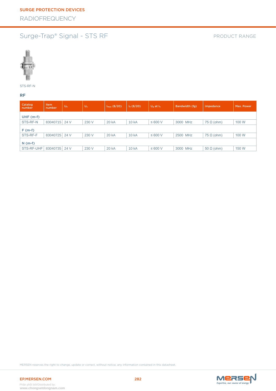# <span id="page-22-0"></span>Surge-Trap® Signal - STS RF

PRODUCT RANGE



STS-RF-N

#### **RF**

| Catalog<br>number | Item<br>number | $U_n$ | $U_c$ | $I_{max}$ (8/20) | $I_n(8/20)$ | $U_p$ at $I_n$ | Bandwidth (fg) | Impedance         | Max. Power |
|-------------------|----------------|-------|-------|------------------|-------------|----------------|----------------|-------------------|------------|
| $UHF(m-f)$        |                |       |       |                  |             |                |                |                   |            |
| STS-RF-N          | 83040715       | 24 V  | 230 V | 20 kA            | 10 kA       | $\leq 600$ V   | 3000 MHz       | $75 \Omega$ (ohm) | 100 W      |
| $F(m-f)$          |                |       |       |                  |             |                |                |                   |            |
| STS-RF-F          | 83040725       | 24 V  | 230 V | 20 kA            | 10 kA       | $\leq 600$ V   | 2500 MHz       | $75 \Omega$ (ohm) | 100 W      |
| $N(m-f)$          |                |       |       |                  |             |                |                |                   |            |
| STS-RF-UHF        | 83040735       | 24 V  | 230 V | 20 kA            | 10 kA       | $\leq 600$ V   | 3000 MHz       | $50 \Omega$ (ohm) | 150 W      |

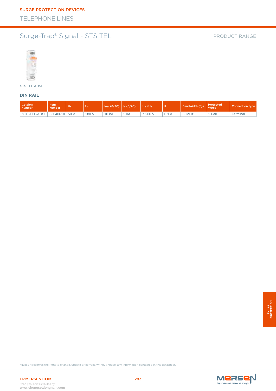### <span id="page-23-0"></span>Surge-Trap® Signal - STS TEL

PRODUCT RANGE



STS-TEL-ADSL

#### **DIN RAIL**

| Catalog<br>number | Item<br>number | Un | 70a   | $I_{max}$ (8/20) | $I_n(8/20)$ | $U_p$ at $I_n$ | IL | Bandwidth (fg) | Protected<br><b>Wires</b> | <b>Connection type</b> |
|-------------------|----------------|----|-------|------------------|-------------|----------------|----|----------------|---------------------------|------------------------|
| STS-TEL-ADSL      | 83040610 50 V  |    | 180 V | 0 <sub>kA</sub>  | 5 kA        | $\leq$ 200 $'$ |    | MHz            | Pair                      | Terminal               |

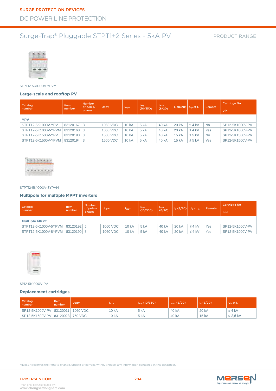#### PRODUCT RANGE

<span id="page-24-0"></span>

STPT12-5K1000V-YPVM

#### **Large-scale and rooftop PV**

| Catalog<br>number   | Item<br>number | <b>Number</b><br>of poles/<br>phases | Ucpy            | <b>Iscpv</b>      | limp<br>(10/350) | Imax<br>(8/20) | $I_n(8/20)$  | $U_{\rm D}$ at $I_{\rm D}$ | Remote     | <b>Cartridge No</b><br>L-N |
|---------------------|----------------|--------------------------------------|-----------------|-------------------|------------------|----------------|--------------|----------------------------|------------|----------------------------|
| <b>YPV</b>          |                |                                      |                 |                   |                  |                |              |                            |            |                            |
| STPT12-5K1000V-YPV  | 83120167 3     |                                      | 1060 VDC        | 10 kA             | 5 kA             | 40 kA          | 20 kA        | $\leq 4$ kV                | <b>No</b>  | SP12-5K1000V-PV            |
| STPT12-5K1000V-YPVM | 83120168       |                                      | 1060 VDC        | 10 <sub>k</sub> A | 5 kA             | 40 kA          | 20 kA        | $\leq 4$ kV                | <b>Yes</b> | SP12-5K1000V-PV            |
| STPT12-5K1500V-YPV  | 83120193       | -3                                   | <b>1500 VDC</b> | 10 <sub>k</sub> A | 5 kA             | 40 kA          | <b>15 kA</b> | $\leq 5$ kV                | No.        | SP12-5K1500V-PV            |
| STPT12-5K1500V-YPVM | 83120194 3     |                                      | <b>1500 VDC</b> | <b>10 kA</b>      | 5 kA             | 40 kA          | 15kA         | $\leq 5$ kV                | Yes        | SP12-5K1500V-PV            |



#### STPT12-5K1000V-8YPVM

#### **Multipole for multiple MPPT inverters**

| Catalog<br>number                   | <b>Item</b><br>number | <b>Number</b><br>of poles/<br>phases | <b>Ucpv</b> | <b>Iscpy</b> | limp<br>(10/350) | <b>Imax</b><br>(8/20) | $I_n$ (8/20) | $U_{D}$ at $I_{D}$ | Remote | <b>Cartridge No</b><br>L-N |
|-------------------------------------|-----------------------|--------------------------------------|-------------|--------------|------------------|-----------------------|--------------|--------------------|--------|----------------------------|
| <b>Multiple MPPT</b>                |                       |                                      |             |              |                  |                       |              |                    |        |                            |
| STPT12-5K1000V-5YPVM   83120192   5 |                       |                                      | 1060 VDC    | 10 kA        | 5 kA             | 40 kA                 | 20 kA        | $\leq 4$ kV        | Yes    | SP12-5K1000V-PV            |
| STPT12-5K1000V-8YPVM   83120190   8 |                       |                                      | 1060 VDC    | <b>10 kA</b> | 5 kA             | 40 kA                 | 20 kA        | $\leq 4$ kV        | Yes    | SP12-5K1000V-PV            |



SP12-5K1000V-PV

#### **Replacement cartridges**

| Catalog <sup>1</sup><br>number   | Item<br>number | <b>Ucpy</b> | <b>Iscpy</b> | $\lim_{6} (10/350)$ | $I_{max}$ (8/20) | $I_n(8/20)$ | $U_{\rm p}$ at $I_{\rm n}$ |
|----------------------------------|----------------|-------------|--------------|---------------------|------------------|-------------|----------------------------|
| SP12-5K1000V-PV 83120011         |                | 1060 VDC    | 10 kA        | 5 kA                | 40 kA            | 20 kA       | $\leq 4$ kV                |
| SP12-5K1500V-PV 83120023 750 VDC |                |             | 10 kA        | 5 kA                | 40 kA            | 15 kA       | $\leq$ 2.5 kV              |



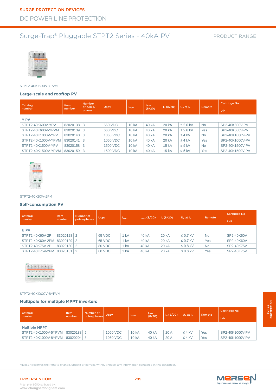#### PRODUCT RANGE

<span id="page-25-0"></span>

STPT2-40K1500V-YPVM

#### **Large-scale and rooftop PV**

| Catalog<br>number   | <b>Item</b><br>number | <b>Number</b><br>of poles/<br>phases | <b>Ucpv</b> | <b>Iscpy</b>      | Imax<br>(8/20) | $I_n(8/20)$  | $U_{D}$ at $I_{D}$ | Remote    | <b>Cartridge No</b><br>L-N |
|---------------------|-----------------------|--------------------------------------|-------------|-------------------|----------------|--------------|--------------------|-----------|----------------------------|
| <b>Y PV</b>         |                       |                                      |             |                   |                |              |                    |           |                            |
| STPT2-40K600V-YPV   | 83020138 3            |                                      | 660 VDC     | 10 <sub>k</sub> A | 40 kA          | 20 kA        | $\leq$ 2.6 kV      | <b>No</b> | SP2-40K600V-PV             |
| STPT2-40K600V-YPVM  | 83020139              | 3                                    | 660 VDC     | 10 <sub>k</sub> A | 40 kA          | 20 kA        | $\leq$ 2.6 kV      | Yes       | SP2-40K600V-PV             |
| STPT2-40K1000V-YPV  | 83020140 3            |                                      | 1060 VDC    | 10 kA             | 40 kA          | 20 kA        | $\leq 4$ kV        | <b>No</b> | SP2-40K1000V-PV            |
| STPT2-40K1000V-YPVM | $83020141$ 3          |                                      | 1060 VDC    | 10 kA             | 40 kA          | 20 kA        | $\leq 4$ kV        | Yes       | SP2-40K1000V-PV            |
| STPT2-40K1500V-YPV  | 83020158              | 3                                    | 1500 VDC    | 10 <sub>k</sub> A | 40 kA          | 15 kA        | $\leq 5$ kV        | <b>No</b> | SP2-40K1500V-PV            |
| STPT2-40K1500V-YPVM | 83020159 3            |                                      | 1500 VDC    | <b>10 kA</b>      | 40 kA          | <b>15 kA</b> | $\leq 5$ kV        | Yes       | SP2-40K1500V-PV            |



#### STPT2-40K60V-2PM

#### **Self-consumption PV**

| Catalog          | Item         | Number of    | <b>Ucpv</b> |              | $I_{max}$ (8/20) | $I_n(8/20)$ | $U_p$ at $I_n$ | Remote    | <b>Cartridge No</b> |
|------------------|--------------|--------------|-------------|--------------|------------------|-------------|----------------|-----------|---------------------|
| number           | number       | poles/phases |             | <b>Iscpy</b> |                  |             |                |           | L-N                 |
| <b>U PV</b>      |              |              |             |              |                  |             |                |           |                     |
| STPT2-40K60V-2P  | 83020128 2   |              | 65 VDC      | 1 kA         | 40 kA            | 20 kA       | $\leq$ 0.7 kV  | <b>No</b> | SP2-40K60V          |
| STPT2-40K60V-2PM | 83020129 2   |              | 65 VDC      | 1 kA         | 40 kA            | 20 kA       | $\leq$ 0.7 kV  | Yes       | SP2-40K60V          |
| STPT2-40K75V-2P  | 83020130   2 |              | 80 VDC      | 1 kA         | 40 kA            | 20 kA       | $\leq$ 0.8 kV  | <b>No</b> | SP2-40K75V          |
| STPT2-40K75V-2PM | 83020131 2   |              | 80 VDC      | 1 kA         | 40 kA            | 20 kA       | $\leq$ 0.8 kV  | Yes       | SP2-40K75V          |



#### STPT2-40K1000V-8YPVM

#### **Multipole for multiple MPPT inverters**

| Catalog<br>number    | <b>Item</b><br>number | Number of<br>poles/phases | Ucpv     | <b>Iscpy</b> | <b>Imax</b><br>(8/20) | $\ln (8/20)$ | $U_{\rm p}$ at $I_{\rm n}$ | Remote | <b>Cartridge No</b><br>L-N |
|----------------------|-----------------------|---------------------------|----------|--------------|-----------------------|--------------|----------------------------|--------|----------------------------|
| <b>Multiple MPPT</b> |                       |                           |          |              |                       |              |                            |        |                            |
| STPT2-40K1000V-5YPVM | 83020188 5            |                           | 1060 VDC | $10k$ A      | 40 kA                 | 20A          | $\leq 4$ kV                | Yes    | SP2-40K1000V-PV            |
| STPT2-40K1000V-8YPVM | 83020204 8            |                           | 1060 VDC | <b>10 kA</b> | 40 kA                 | 20A          | $\leq 4$ kV                | Yes    | SP2-40K1000V-PV            |

MERSEN reserves the right to change, update or correct, without notice, any information contained in this datasheet.

EP.MERSEN.COM 285

Expertise, our source of energy



Phân phối bởi/Distributed by: **www.chongsetdongnam.com**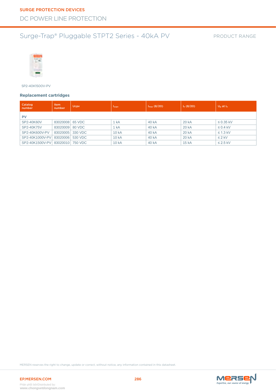#### PRODUCT RANGE

<span id="page-26-0"></span>

SP2-40K1500V-PV

#### **Replacement cartridges**

| Catalog<br>number | <b>Item</b><br>number | Ucpv    | <b>Iscov</b> | $I_{\text{max}}(8/20)$ | $I_n(8/20)$ | $U_{\rm p}$ at $I_{\rm n}$ |
|-------------------|-----------------------|---------|--------------|------------------------|-------------|----------------------------|
| <b>PV</b>         |                       |         |              |                        |             |                            |
| SP2-40K60V        | 83020008              | 65 VDC  | 1 kA         | 40 kA                  | 20 kA       | $\leq$ 0.35 kV             |
| SP2-40K75V        | 83020009              | 80 VDC  | 1 kA         | 40 kA                  | 20 kA       | $\leq$ 0.4 kV              |
| SP2-40K600V-PV    | 83020005              | 330 VDC | 10 kA        | 40 kA                  | 20 kA       | $\leq$ 1.3 kV              |
| SP2-40K1000V-PV   | 83020006              | 530 VDC | 10 kA        | 40 kA                  | 20 kA       | $\leq$ 2 kV                |
| SP2-40K1500V-PV   | 83020010 750 VDC      |         | 10 kA        | 40 kA                  | 15 kA       | $\leq$ 2.5 kV              |

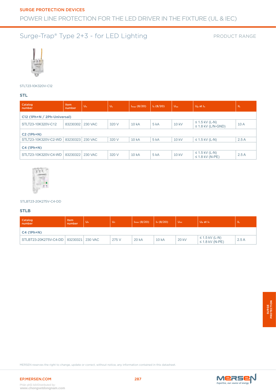### <span id="page-27-0"></span>POWER LINE PROTECTION FOR THE LED DRIVER IN THE FIXTURE (UL & IEC)

### Surge-Trap® Type 2+3 - for LED Lighting

#### PRODUCT RANGE



#### STLT23-10K320V-C12

#### **STL**

| Catalog<br>number           | Item<br>number | $U_n$          | $U_c$ | $I_{max}$ (8/20)  | $I_n(8/20)$ | $U_{\rm oc}$ | $U_{\rm p}$ at $I_{\rm n}$                     | IL.  |
|-----------------------------|----------------|----------------|-------|-------------------|-------------|--------------|------------------------------------------------|------|
| C12 (1Ph+N / 2Ph-Universal) |                |                |       |                   |             |              |                                                |      |
| STLT23-10K320V-C12          | 83230302       | 230 VAC        | 320 V | 10 <sub>k</sub> A | 5 kA        | 10 kV        | $\leq$ 1.5 kV (L-N)<br>$\leq$ 1.8 kV (L/N-GND) | 10A  |
| $C2$ (1Ph+N)                |                |                |       |                   |             |              |                                                |      |
| STLT23-10K320V-C2-WD        | 83230323       | <b>230 VAC</b> | 320 V | 10 kA             | 5 kA        | 10 kV        | $\leq$ 1.5 kV (L-N)                            | 2.5A |
| $C4$ (1Ph+N)                |                |                |       |                   |             |              |                                                |      |
| STLT23-10K320V-C4-WD        | 83230322       | 230 VAC        | 320 V | 10 <sub>k</sub> A | 5 kA        | 10 kV        | $\leq$ 1.5 kV (L-N)<br>$\leq$ 1.8 kV (N-PE)    | 2.5A |



#### STLBT23-20K275V-C4-DD

#### **STLB**

| Catalog<br>number                          | Item<br>number | $U_n$ | Uc.   | $I_{\text{max}}(8/20)$ | $I_n(8/20)$ | $U_{\rm oc}$ | $U_p$ at $I_n$                              | w    |
|--------------------------------------------|----------------|-------|-------|------------------------|-------------|--------------|---------------------------------------------|------|
| $C4$ (1Ph+N)                               |                |       |       |                        |             |              |                                             |      |
| STLBT23-20K275V-C4-DD   83230321   230 VAC |                |       | 275 V | 20 kA                  | 10 kA       | 20 kV        | $\leq$ 1.5 kV (L-N)<br>$\leq$ 1.8 kV (N-PE) | 2.5A |

MERSEN reserves the right to change, update or correct, without notice, any information contained in this datasheet.

**www.chongsetdongnam.com**

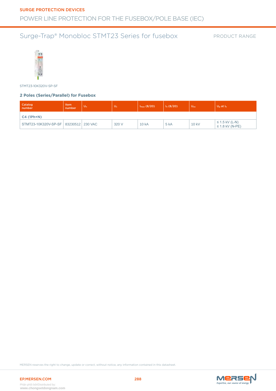### <span id="page-28-0"></span>Surge-Trap® Monobloc STMT23 Series for fusebox

#### PRODUCT RANGE



STMT23-10K320V-SP-SF

#### **2 Poles (Series/Parallel) for Fusebox**

| Catalog<br>number                         | Item<br>number | $U_n$ | $U_c$ | $I_{max}$ (8/20) | $I_n(8/20)$ | $U_{\rm oc}$ | U <sub>p</sub> at I <sub>n</sub>            |
|-------------------------------------------|----------------|-------|-------|------------------|-------------|--------------|---------------------------------------------|
| $C4$ (1Ph+N)                              |                |       |       |                  |             |              |                                             |
| STMT23-10K320V-SP-SF   83230512   230 VAC |                |       | 320 V | 10 kA            | 5 kA        | 10 kV        | $\leq$ 1.5 kV (L-N)<br>$\leq$ 1.8 kV (N-PE) |